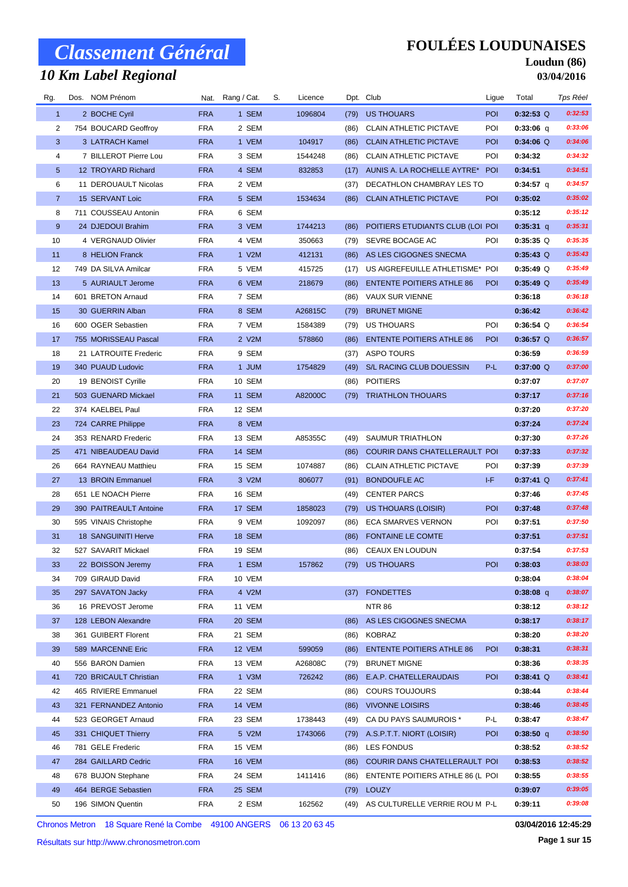## *10 Km Label Regional*

### **FOULÉES LOUDUNAISES**

#### **Loudun (86) 03/04/2016**

| Rg.            | Dos. NOM Prénom            |            | Nat. Rang / Cat. | S. | Licence |      | Dpt. Club                           | Ligue      | Total       | Tps Réel |
|----------------|----------------------------|------------|------------------|----|---------|------|-------------------------------------|------------|-------------|----------|
| $\mathbf{1}$   | 2 BOCHE Cyril              | <b>FRA</b> | 1 SEM            |    | 1096804 | (79) | <b>US THOUARS</b>                   | POI        | $0:32:53$ Q | 0:32:53  |
| 2              | 754 BOUCARD Geoffroy       | <b>FRA</b> | 2 SEM            |    |         | (86) | <b>CLAIN ATHLETIC PICTAVE</b>       | POI        | $0:33:06$ q | 0:33:06  |
| 3              | 3 LATRACH Kamel            | <b>FRA</b> | 1 VEM            |    | 104917  | (86) | <b>CLAIN ATHLETIC PICTAVE</b>       | <b>POI</b> | $0:34:06$ Q | 0:34:06  |
| 4              | 7 BILLEROT Pierre Lou      | <b>FRA</b> | 3 SEM            |    | 1544248 | (86) | <b>CLAIN ATHLETIC PICTAVE</b>       | POI        | 0:34:32     | 0:34:32  |
| 5              | 12 TROYARD Richard         | <b>FRA</b> | 4 SEM            |    | 832853  | (17) | AUNIS A. LA ROCHELLE AYTRE*         | <b>POI</b> | 0:34:51     | 0:34:51  |
| 6              | 11 DEROUAULT Nicolas       | <b>FRA</b> | 2 VEM            |    |         | (37) | DECATHLON CHAMBRAY LES TO           |            | 0:34:57 q   | 0:34:57  |
| $\overline{7}$ | 15 SERVANT Loic            | <b>FRA</b> | 5 SEM            |    | 1534634 | (86) | <b>CLAIN ATHLETIC PICTAVE</b>       | POI        | 0:35:02     | 0:35:02  |
| 8              | 711 COUSSEAU Antonin       | <b>FRA</b> | 6 SEM            |    |         |      |                                     |            | 0:35:12     | 0:35:12  |
| 9              | 24 DJEDOUI Brahim          | <b>FRA</b> | 3 VEM            |    | 1744213 | (86) | POITIERS ETUDIANTS CLUB (LOI POI    |            | $0:35:31$ q | 0:35:31  |
| 10             | 4 VERGNAUD Olivier         | <b>FRA</b> | 4 VEM            |    | 350663  | (79) | SEVRE BOCAGE AC                     | POI        | $0:35:35$ Q | 0:35:35  |
| 11             | 8 HELION Franck            | <b>FRA</b> | 1 V2M            |    | 412131  | (86) | AS LES CIGOGNES SNECMA              |            | $0:35:43$ Q | 0:35:43  |
| 12             | 749 DA SILVA Amilcar       | <b>FRA</b> | 5 VEM            |    | 415725  | (17) | US AIGREFEUILLE ATHLETISME* POI     |            | $0:35:49$ Q | 0:35:49  |
| 13             | 5 AURIAULT Jerome          | <b>FRA</b> | 6 VEM            |    | 218679  | (86) | <b>ENTENTE POITIERS ATHLE 86</b>    | <b>POI</b> | $0:35:49$ Q | 0:35:49  |
| 14             | 601 BRETON Arnaud          | <b>FRA</b> | 7 SEM            |    |         | (86) | <b>VAUX SUR VIENNE</b>              |            | 0:36:18     | 0:36:18  |
| 15             | 30 GUERRIN Alban           | <b>FRA</b> | 8 SEM            |    | A26815C | (79) | <b>BRUNET MIGNE</b>                 |            | 0:36:42     | 0:36:42  |
| 16             | 600 OGER Sebastien         | <b>FRA</b> | 7 VEM            |    | 1584389 | (79) | US THOUARS                          | POI        | $0:36:54$ Q | 0:36:54  |
| 17             | 755 MORISSEAU Pascal       | <b>FRA</b> | 2 V2M            |    | 578860  | (86) | <b>ENTENTE POITIERS ATHLE 86</b>    | <b>POI</b> | $0:36:57$ Q | 0:36:57  |
| 18             | 21 LATROUITE Frederic      | <b>FRA</b> | 9 SEM            |    |         | (37) | ASPO TOURS                          |            | 0:36:59     | 0:36:59  |
| 19             | 340 PUAUD Ludovic          | <b>FRA</b> | 1 JUM            |    | 1754829 | (49) | S/L RACING CLUB DOUESSIN            | P-L        | $0:37:00$ Q | 0:37:00  |
| 20             | 19 BENOIST Cyrille         | <b>FRA</b> | 10 SEM           |    |         | (86) | <b>POITIERS</b>                     |            | 0:37:07     | 0:37:07  |
| 21             | 503 GUENARD Mickael        | <b>FRA</b> | 11 SEM           |    | A82000C | (79) | <b>TRIATHLON THOUARS</b>            |            | 0:37:17     | 0:37:16  |
| 22             | 374 KAELBEL Paul           | <b>FRA</b> | 12 SEM           |    |         |      |                                     |            | 0:37:20     | 0:37:20  |
| 23             | 724 CARRE Philippe         | <b>FRA</b> | 8 VEM            |    |         |      |                                     |            | 0:37:24     | 0:37:24  |
| 24             | 353 RENARD Frederic        | <b>FRA</b> | 13 SEM           |    | A85355C | (49) | SAUMUR TRIATHLON                    |            | 0:37:30     | 0:37:26  |
| 25             | 471 NIBEAUDEAU David       | <b>FRA</b> | 14 SEM           |    |         | (86) | COURIR DANS CHATELLERAULT POI       |            | 0:37:33     | 0:37:32  |
| 26             | 664 RAYNEAU Matthieu       | <b>FRA</b> | 15 SEM           |    | 1074887 | (86) | <b>CLAIN ATHLETIC PICTAVE</b>       | POI        | 0:37:39     | 0:37:39  |
| 27             | 13 BROIN Emmanuel          | <b>FRA</b> | 3 V2M            |    | 806077  | (91) | <b>BONDOUFLE AC</b>                 | I-F        | $0:37:41$ Q | 0:37:41  |
| 28             | 651 LE NOACH Pierre        | <b>FRA</b> | 16 SEM           |    |         | (49) | <b>CENTER PARCS</b>                 |            | 0:37:46     | 0:37:45  |
| 29             | 390 PAITREAULT Antoine     | <b>FRA</b> | 17 SEM           |    | 1858023 | (79) | <b>US THOUARS (LOISIR)</b>          | POI        | 0:37:48     | 0:37:48  |
| 30             | 595 VINAIS Christophe      | <b>FRA</b> | 9 VEM            |    | 1092097 | (86) | ECA SMARVES VERNON                  | POI        | 0:37:51     | 0:37:50  |
| 31             | <b>18 SANGUINITI Herve</b> | <b>FRA</b> | 18 SEM           |    |         | (86) | <b>FONTAINE LE COMTE</b>            |            | 0:37:51     | 0:37:51  |
| 32             | 527 SAVARIT Mickael        | <b>FRA</b> | 19 SEM           |    |         | (86) | <b>CEAUX EN LOUDUN</b>              |            | 0:37:54     | 0:37:53  |
| 33             | 22 BOISSON Jeremy          | <b>FRA</b> | 1 ESM            |    | 157862  |      | (79) US THOUARS                     | <b>POI</b> | 0:38:03     | 0:38:03  |
| 34             | 709 GIRAUD David           | <b>FRA</b> | 10 VEM           |    |         |      |                                     |            | 0:38:04     | 0:38:04  |
| 35             | 297 SAVATON Jacky          | <b>FRA</b> | 4 V2M            |    |         | (37) | <b>FONDETTES</b>                    |            | $0:38:08$ q | 0:38:07  |
| 36             | 16 PREVOST Jerome          | <b>FRA</b> | 11 VEM           |    |         |      | <b>NTR 86</b>                       |            | 0:38:12     | 0:38:12  |
| 37             | 128 LEBON Alexandre        | <b>FRA</b> | 20 SEM           |    |         | (86) | AS LES CIGOGNES SNECMA              |            | 0:38:17     | 0:38:17  |
| 38             | 361 GUIBERT Florent        | <b>FRA</b> | 21 SEM           |    |         | (86) | KOBRAZ                              |            | 0:38:20     | 0:38:20  |
| 39             | 589 MARCENNE Eric          | <b>FRA</b> | 12 VEM           |    | 599059  | (86) | <b>ENTENTE POITIERS ATHLE 86</b>    | <b>POI</b> | 0:38:31     | 0:38:31  |
| 40             | 556 BARON Damien           | <b>FRA</b> | 13 VEM           |    | A26808C | (79) | <b>BRUNET MIGNE</b>                 |            | 0:38:36     | 0:38:35  |
| 41             | 720 BRICAULT Christian     | <b>FRA</b> | $1$ V3M          |    | 726242  | (86) | E.A.P. CHATELLERAUDAIS              | POI        | $0:38:41$ Q | 0:38:41  |
| 42             | 465 RIVIERE Emmanuel       | <b>FRA</b> | 22 SEM           |    |         | (86) | <b>COURS TOUJOURS</b>               |            | 0:38:44     | 0:38:44  |
| 43             | 321 FERNANDEZ Antonio      | <b>FRA</b> | 14 VEM           |    |         | (86) | <b>VIVONNE LOISIRS</b>              |            | 0:38:46     | 0:38:45  |
| 44             | 523 GEORGET Arnaud         | <b>FRA</b> | 23 SEM           |    | 1738443 | (49) | CA DU PAYS SAUMUROIS *              | P-L        | 0:38:47     | 0:38:47  |
| 45             | 331 CHIQUET Thierry        | <b>FRA</b> | 5 V2M            |    | 1743066 | (79) | A.S.P.T.T. NIORT (LOISIR)           | <b>POI</b> | $0:38:50$ q | 0:38:50  |
| 46             | 781 GELE Frederic          | <b>FRA</b> | 15 VEM           |    |         | (86) | LES FONDUS                          |            | 0:38:52     | 0:38:52  |
| 47             | 284 GAILLARD Cedric        | <b>FRA</b> | 16 VEM           |    |         | (86) | COURIR DANS CHATELLERAULT POI       |            | 0:38:53     | 0:38:52  |
| 48             | 678 BUJON Stephane         | <b>FRA</b> | 24 SEM           |    | 1411416 | (86) | ENTENTE POITIERS ATHLE 86 (L POI    |            | 0:38:55     | 0:38:55  |
| 49             | 464 BERGE Sebastien        | <b>FRA</b> | 25 SEM           |    |         | (79) | <b>LOUZY</b>                        |            | 0:39:07     | 0:39:05  |
| 50             | 196 SIMON Quentin          | <b>FRA</b> | 2 ESM            |    | 162562  |      | (49) AS CULTURELLE VERRIE ROU M P-L |            | 0:39:11     | 0:39:08  |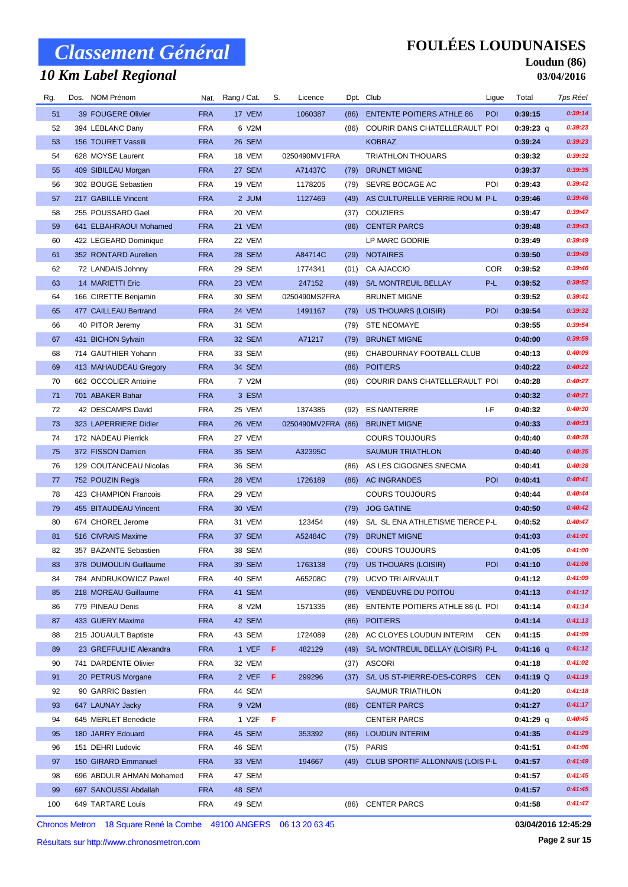## *10 Km Label Regional*

### **FOULÉES LOUDUNAISES**

#### **Loudun (86) 03/04/2016**

| Rg. | Dos. NOM Prénom          |            | Nat. Rang / Cat. | S. | Licence            |      | Dpt. Club                             | Ligue      | Total       | Tps Réel |
|-----|--------------------------|------------|------------------|----|--------------------|------|---------------------------------------|------------|-------------|----------|
| 51  | 39 FOUGERE Olivier       | <b>FRA</b> | 17 VEM           |    | 1060387            | (86) | <b>ENTENTE POITIERS ATHLE 86</b>      | <b>POI</b> | 0:39:15     | 0:39:14  |
| 52  | 394 LEBLANC Dany         | <b>FRA</b> | 6 V2M            |    |                    | (86) | COURIR DANS CHATELLERAULT POI         |            | $0:39:23$ q | 0:39:23  |
| 53  | 156 TOURET Vassili       | <b>FRA</b> | 26 SEM           |    |                    |      | <b>KOBRAZ</b>                         |            | 0:39:24     | 0:39:23  |
| 54  | 628 MOYSE Laurent        | <b>FRA</b> | 18 VEM           |    | 0250490MV1FRA      |      | <b>TRIATHLON THOUARS</b>              |            | 0:39:32     | 0:39:32  |
| 55  | 409 SIBILEAU Morgan      | <b>FRA</b> | 27 SEM           |    | A71437C            | (79) | <b>BRUNET MIGNE</b>                   |            | 0:39:37     | 0:39:35  |
| 56  | 302 BOUGE Sebastien      | <b>FRA</b> | 19 VEM           |    | 1178205            | (79) | SEVRE BOCAGE AC                       | POI        | 0:39:43     | 0:39:42  |
| 57  | 217 GABILLE Vincent      | <b>FRA</b> | 2 JUM            |    | 1127469            | (49) | AS CULTURELLE VERRIE ROU M P-L        |            | 0:39:46     | 0:39:46  |
| 58  | 255 POUSSARD Gael        | <b>FRA</b> | 20 VEM           |    |                    | (37) | <b>COUZIERS</b>                       |            | 0:39:47     | 0:39:47  |
| 59  | 641 ELBAHRAOUI Mohamed   | <b>FRA</b> | 21 VEM           |    |                    | (86) | <b>CENTER PARCS</b>                   |            | 0:39:48     | 0:39:43  |
| 60  | 422 LEGEARD Dominique    | <b>FRA</b> | 22 VEM           |    |                    |      | LP MARC GODRIE                        |            | 0:39:49     | 0:39:49  |
| 61  | 352 RONTARD Aurelien     | <b>FRA</b> | 28 SEM           |    | A84714C            | (29) | <b>NOTAIRES</b>                       |            | 0:39:50     | 0:39:49  |
| 62  | 72 LANDAIS Johnny        | <b>FRA</b> | 29 SEM           |    | 1774341            | (01) | <b>CA AJACCIO</b>                     | <b>COR</b> | 0:39:52     | 0:39:46  |
| 63  | 14 MARIETTI Eric         | <b>FRA</b> | 23 VEM           |    | 247152             | (49) | S/L MONTREUIL BELLAY                  | $P-L$      | 0:39:52     | 0:39:52  |
| 64  | 166 CIRETTE Benjamin     | <b>FRA</b> | 30 SEM           |    | 0250490MS2FRA      |      | <b>BRUNET MIGNE</b>                   |            | 0:39:52     | 0:39:41  |
| 65  | 477 CAILLEAU Bertrand    | <b>FRA</b> | 24 VEM           |    | 1491167            | (79) | <b>US THOUARS (LOISIR)</b>            | POI        | 0:39:54     | 0:39:32  |
| 66  | 40 PITOR Jeremy          | <b>FRA</b> | 31 SEM           |    |                    | (79) | <b>STE NEOMAYE</b>                    |            | 0:39:55     | 0:39:54  |
| 67  | 431 BICHON Sylvain       | <b>FRA</b> | 32 SEM           |    | A71217             | (79) | <b>BRUNET MIGNE</b>                   |            | 0:40:00     | 0:39:59  |
| 68  | 714 GAUTHIER Yohann      | <b>FRA</b> | 33 SEM           |    |                    | (86) | CHABOURNAY FOOTBALL CLUB              |            | 0:40:13     | 0:40:09  |
| 69  | 413 MAHAUDEAU Gregory    | <b>FRA</b> | 34 SEM           |    |                    | (86) | <b>POITIERS</b>                       |            | 0:40:22     | 0:40:22  |
| 70  | 662 OCCOLIER Antoine     | FRA        | 7 V2M            |    |                    | (86) | COURIR DANS CHATELLERAULT POI         |            | 0:40:28     | 0:40:27  |
| 71  | 701 ABAKER Bahar         | <b>FRA</b> | 3 ESM            |    |                    |      |                                       |            | 0:40:32     | 0:40:21  |
| 72  | 42 DESCAMPS David        | <b>FRA</b> | 25 VEM           |    | 1374385            | (92) | <b>ES NANTERRE</b>                    | I-F        | 0:40:32     | 0:40:30  |
| 73  | 323 LAPERRIERE Didier    | <b>FRA</b> | 26 VEM           |    | 0250490MV2FRA (86) |      | <b>BRUNET MIGNE</b>                   |            | 0:40:33     | 0:40:33  |
| 74  | 172 NADEAU Pierrick      | <b>FRA</b> | 27 VEM           |    |                    |      | <b>COURS TOUJOURS</b>                 |            | 0:40:40     | 0:40:38  |
| 75  | 372 FISSON Damien        | <b>FRA</b> | 35 SEM           |    | A32395C            |      | <b>SAUMUR TRIATHLON</b>               |            | 0:40:40     | 0:40:35  |
| 76  | 129 COUTANCEAU Nicolas   | <b>FRA</b> | 36 SEM           |    |                    | (86) | AS LES CIGOGNES SNECMA                |            | 0:40:41     | 0:40:38  |
| 77  | 752 POUZIN Regis         | <b>FRA</b> | 28 VEM           |    | 1726189            | (86) | <b>AC INGRANDES</b>                   | <b>POI</b> | 0:40:41     | 0:40:41  |
| 78  | 423 CHAMPION Francois    | <b>FRA</b> | 29 VEM           |    |                    |      | <b>COURS TOUJOURS</b>                 |            | 0:40:44     | 0:40:44  |
| 79  | 455 BITAUDEAU Vincent    | <b>FRA</b> | 30 VEM           |    |                    | (79) | <b>JOG GATINE</b>                     |            | 0:40:50     | 0:40:42  |
| 80  | 674 CHOREL Jerome        | <b>FRA</b> | 31 VEM           |    | 123454             | (49) | S/L SL ENA ATHLETISME TIERCE P-L      |            | 0:40:52     | 0:40:47  |
| 81  | 516 CIVRAIS Maxime       | <b>FRA</b> | 37 SEM           |    | A52484C            | (79) | <b>BRUNET MIGNE</b>                   |            | 0:41:03     | 0:41:01  |
| 82  | 357 BAZANTE Sebastien    | <b>FRA</b> | 38 SEM           |    |                    | (86) | <b>COURS TOUJOURS</b>                 |            | 0:41:05     | 0:41:00  |
| 83  | 378 DUMOULIN Guillaume   | <b>FRA</b> | 39 SEM           |    | 1763138            |      | (79) US THOUARS (LOISIR)              | <b>POI</b> | 0:41:10     | 0:41:08  |
| 84  | 784 ANDRUKOWICZ Pawel    | <b>FRA</b> | 40 SEM           |    | A65208C            |      | (79) UCVO TRI AIRVAULT                |            | 0:41:12     | 0:41:09  |
| 85  | 218 MOREAU Guillaume     | <b>FRA</b> | 41 SEM           |    |                    | (86) | <b>VENDEUVRE DU POITOU</b>            |            | 0:41:13     | 0:41:12  |
| 86  | 779 PINEAU Denis         | <b>FRA</b> | 8 V2M            |    | 1571335            | (86) | ENTENTE POITIERS ATHLE 86 (L POI      |            | 0:41:14     | 0:41:14  |
| 87  | 433 GUERY Maxime         | <b>FRA</b> | 42 SEM           |    |                    | (86) | <b>POITIERS</b>                       |            | 0:41:14     | 0:41:13  |
| 88  | 215 JOUAULT Baptiste     | <b>FRA</b> | 43 SEM           |    | 1724089            | (28) | AC CLOYES LOUDUN INTERIM              | <b>CEN</b> | 0:41:15     | 0:41:09  |
| 89  | 23 GREFFULHE Alexandra   | <b>FRA</b> | 1 VEF F          |    | 482129             | (49) | S/L MONTREUIL BELLAY (LOISIR) P-L     |            | $0:41:16$ q | 0:41:12  |
| 90  | 741 DARDENTE Olivier     | <b>FRA</b> | 32 VEM           |    |                    | (37) | <b>ASCORI</b>                         |            | 0:41:18     | 0:41:02  |
| 91  | 20 PETRUS Morgane        | <b>FRA</b> | 2 VEF            | F. | 299296             | (37) | S/L US ST-PIERRE-DES-CORPS            | <b>CEN</b> | $0:41:19$ Q | 0:41:19  |
| 92  | 90 GARRIC Bastien        | <b>FRA</b> | 44 SEM           |    |                    |      | SAUMUR TRIATHLON                      |            | 0:41:20     | 0:41:18  |
| 93  | 647 LAUNAY Jacky         | <b>FRA</b> | 9 V2M            |    |                    |      | (86) CENTER PARCS                     |            | 0:41:27     | 0:41:17  |
| 94  | 645 MERLET Benedicte     | <b>FRA</b> | 1 V2F            | F  |                    |      | <b>CENTER PARCS</b>                   |            | $0:41:29$ q | 0:40:45  |
| 95  | 180 JARRY Edouard        | <b>FRA</b> | 45 SEM           |    | 353392             | (86) | <b>LOUDUN INTERIM</b>                 |            | 0:41:35     | 0:41:29  |
| 96  | 151 DEHRI Ludovic        | <b>FRA</b> | 46 SEM           |    |                    |      | (75) PARIS                            |            | 0:41:51     | 0:41:06  |
| 97  | 150 GIRARD Emmanuel      | <b>FRA</b> | 33 VEM           |    | 194667             |      | (49) CLUB SPORTIF ALLONNAIS (LOIS P-L |            | 0:41:57     | 0:41:49  |
| 98  | 696 ABDULR AHMAN Mohamed | <b>FRA</b> | 47 SEM           |    |                    |      |                                       |            | 0:41:57     | 0:41:45  |
| 99  | 697 SANOUSSI Abdallah    | <b>FRA</b> | 48 SEM           |    |                    |      |                                       |            | 0:41:57     | 0:41:45  |
| 100 | 649 TARTARE Louis        | <b>FRA</b> | 49 SEM           |    |                    | (86) | <b>CENTER PARCS</b>                   |            | 0:41:58     | 0:41:47  |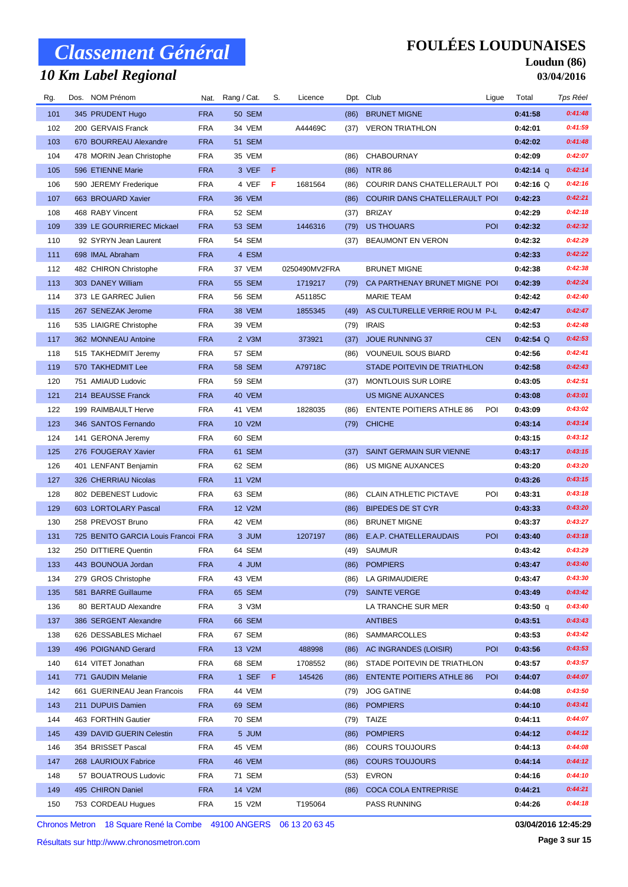## *10 Km Label Regional*

### **FOULÉES LOUDUNAISES**

#### **Loudun (86) 03/04/2016**

| Rg. | Dos. NOM Prénom                     |            | Nat. Rang / Cat. | S.  | Licence       |      | Dpt. Club                        | Ligue      | Total       | Tps Réel |
|-----|-------------------------------------|------------|------------------|-----|---------------|------|----------------------------------|------------|-------------|----------|
| 101 | 345 PRUDENT Hugo                    | <b>FRA</b> | <b>50 SEM</b>    |     |               | (86) | <b>BRUNET MIGNE</b>              |            | 0:41:58     | 0:41:48  |
| 102 | 200 GERVAIS Franck                  | <b>FRA</b> | 34 VEM           |     | A44469C       |      | (37) VERON TRIATHLON             |            | 0:42:01     | 0:41:59  |
| 103 | 670 BOURREAU Alexandre              | <b>FRA</b> | 51 SEM           |     |               |      |                                  |            | 0:42:02     | 0:41:48  |
| 104 | 478 MORIN Jean Christophe           | <b>FRA</b> | 35 VEM           |     |               | (86) | <b>CHABOURNAY</b>                |            | 0:42:09     | 0:42:07  |
| 105 | 596 ETIENNE Marie                   | <b>FRA</b> | 3 VEF            | - F |               | (86) | <b>NTR 86</b>                    |            | $0:42:14$ q | 0:42:14  |
| 106 | 590 JEREMY Frederique               | <b>FRA</b> | 4 VEF            | - F | 1681564       | (86) | COURIR DANS CHATELLERAULT POI    |            | $0:42:16$ Q | 0:42:16  |
| 107 | 663 BROUARD Xavier                  | <b>FRA</b> | 36 VEM           |     |               | (86) | COURIR DANS CHATELLERAULT POI    |            | 0:42:23     | 0:42:21  |
| 108 | 468 RABY Vincent                    | <b>FRA</b> | 52 SEM           |     |               | (37) | <b>BRIZAY</b>                    |            | 0:42:29     | 0:42:18  |
| 109 | 339 LE GOURRIEREC Mickael           | <b>FRA</b> | 53 SEM           |     | 1446316       | (79) | US THOUARS                       | POI        | 0:42:32     | 0:42:32  |
| 110 | 92 SYRYN Jean Laurent               | <b>FRA</b> | 54 SEM           |     |               | (37) | <b>BEAUMONT EN VERON</b>         |            | 0:42:32     | 0:42:29  |
| 111 | 698 IMAL Abraham                    | <b>FRA</b> | 4 ESM            |     |               |      |                                  |            | 0:42:33     | 0:42:22  |
| 112 | 482 CHIRON Christophe               | <b>FRA</b> | 37 VEM           |     | 0250490MV2FRA |      | <b>BRUNET MIGNE</b>              |            | 0:42:38     | 0:42:38  |
| 113 | 303 DANEY William                   | <b>FRA</b> | 55 SEM           |     | 1719217       | (79) | CA PARTHENAY BRUNET MIGNE POI    |            | 0:42:39     | 0:42:24  |
| 114 | 373 LE GARREC Julien                | <b>FRA</b> | 56 SEM           |     | A51185C       |      | <b>MARIE TEAM</b>                |            | 0:42:42     | 0:42:40  |
| 115 | 267 SENEZAK Jerome                  | <b>FRA</b> | 38 VEM           |     | 1855345       | (49) | AS CULTURELLE VERRIE ROU M P-L   |            | 0:42:47     | 0:42:47  |
| 116 | 535 LIAIGRE Christophe              | <b>FRA</b> | 39 VEM           |     |               | (79) | <b>IRAIS</b>                     |            | 0:42:53     | 0:42:48  |
| 117 | 362 MONNEAU Antoine                 | <b>FRA</b> | 2 V3M            |     | 373921        | (37) | JOUE RUNNING 37                  | <b>CEN</b> | $0:42:54$ Q | 0:42:53  |
| 118 | 515 TAKHEDMIT Jeremy                | <b>FRA</b> | 57 SEM           |     |               | (86) | <b>VOUNEUIL SOUS BIARD</b>       |            | 0:42:56     | 0:42:41  |
| 119 | 570 TAKHEDMIT Lee                   | <b>FRA</b> | <b>58 SEM</b>    |     | A79718C       |      | STADE POITEVIN DE TRIATHLON      |            | 0:42:58     | 0:42:43  |
| 120 | 751 AMIAUD Ludovic                  | <b>FRA</b> | 59 SEM           |     |               | (37) | MONTLOUIS SUR LOIRE              |            | 0:43:05     | 0:42:51  |
| 121 | 214 BEAUSSE Franck                  | <b>FRA</b> | 40 VEM           |     |               |      | <b>US MIGNE AUXANCES</b>         |            | 0:43:08     | 0:43:01  |
| 122 | 199 RAIMBAULT Herve                 | <b>FRA</b> | 41 VEM           |     | 1828035       | (86) | <b>ENTENTE POITIERS ATHLE 86</b> | POI        | 0:43:09     | 0:43:02  |
| 123 | 346 SANTOS Fernando                 | <b>FRA</b> | 10 V2M           |     |               |      | (79) CHICHE                      |            | 0:43:14     | 0:43:14  |
| 124 | 141 GERONA Jeremy                   | <b>FRA</b> | 60 SEM           |     |               |      |                                  |            | 0:43:15     | 0:43:12  |
| 125 | 276 FOUGERAY Xavier                 | <b>FRA</b> | 61 SEM           |     |               | (37) | SAINT GERMAIN SUR VIENNE         |            | 0:43:17     | 0:43:15  |
| 126 | 401 LENFANT Benjamin                | <b>FRA</b> | 62 SEM           |     |               | (86) | US MIGNE AUXANCES                |            | 0:43:20     | 0:43:20  |
| 127 | 326 CHERRIAU Nicolas                | <b>FRA</b> | 11 V2M           |     |               |      |                                  |            | 0:43:26     | 0:43:15  |
| 128 | 802 DEBENEST Ludovic                | <b>FRA</b> | 63 SEM           |     |               | (86) | <b>CLAIN ATHLETIC PICTAVE</b>    | POI        | 0:43:31     | 0:43:18  |
| 129 | 603 LORTOLARY Pascal                | <b>FRA</b> | 12 V2M           |     |               | (86) | <b>BIPEDES DE ST CYR</b>         |            | 0:43:33     | 0:43:20  |
| 130 | 258 PREVOST Bruno                   | <b>FRA</b> | 42 VEM           |     |               | (86) | <b>BRUNET MIGNE</b>              |            | 0:43:37     | 0:43:27  |
| 131 | 725 BENITO GARCIA Louis Francoi FRA |            | 3 JUM            |     | 1207197       | (86) | E.A.P. CHATELLERAUDAIS           | <b>POI</b> | 0:43:40     | 0:43:18  |
| 132 | 250 DITTIERE Quentin                | <b>FRA</b> | 64 SEM           |     |               |      | (49) SAUMUR                      |            | 0:43:42     | 0:43:29  |
| 133 | 443 BOUNOUA Jordan                  | <b>FRA</b> | 4 JUM            |     |               |      | (86) POMPIERS                    |            | 0:43:47     | 0:43:40  |
| 134 | 279 GROS Christophe                 | <b>FRA</b> | 43 VEM           |     |               | (86) | LA GRIMAUDIERE                   |            | 0:43:47     | 0:43:30  |
| 135 | 581 BARRE Guillaume                 | <b>FRA</b> | 65 SEM           |     |               |      | (79) SAINTE VERGE                |            | 0:43:49     | 0:43:42  |
| 136 | 80 BERTAUD Alexandre                | <b>FRA</b> | 3 V3M            |     |               |      | LA TRANCHE SUR MER               |            | $0:43:50$ q | 0:43:40  |
| 137 | 386 SERGENT Alexandre               | <b>FRA</b> | 66 SEM           |     |               |      | <b>ANTIBES</b>                   |            | 0:43:51     | 0:43:43  |
| 138 | 626 DESSABLES Michael               | <b>FRA</b> | 67 SEM           |     |               | (86) | <b>SAMMARCOLLES</b>              |            | 0:43:53     | 0:43:42  |
| 139 | 496 POIGNAND Gerard                 | <b>FRA</b> | 13 V2M           |     | 488998        | (86) | AC INGRANDES (LOISIR)            | <b>POI</b> | 0:43:56     | 0:43:53  |
| 140 | 614 VITET Jonathan                  | <b>FRA</b> | 68 SEM           |     | 1708552       | (86) | STADE POITEVIN DE TRIATHLON      |            | 0:43:57     | 0:43:57  |
| 141 | 771 GAUDIN Melanie                  | <b>FRA</b> | 1 SEF            | Æ   | 145426        | (86) | <b>ENTENTE POITIERS ATHLE 86</b> | <b>POI</b> | 0:44:07     | 0:44:07  |
| 142 | 661 GUERINEAU Jean Francois         | FRA        | 44 VEM           |     |               | (79) | <b>JOG GATINE</b>                |            | 0:44:08     | 0:43:50  |
| 143 | 211 DUPUIS Damien                   | <b>FRA</b> | 69 SEM           |     |               | (86) | <b>POMPIERS</b>                  |            | 0:44:10     | 0:43:41  |
| 144 | 463 FORTHIN Gautier                 | <b>FRA</b> | 70 SEM           |     |               | (79) | TAIZE                            |            | 0:44:11     | 0:44:07  |
| 145 | 439 DAVID GUERIN Celestin           | <b>FRA</b> | 5 JUM            |     |               | (86) | <b>POMPIERS</b>                  |            | 0:44:12     | 0:44:12  |
| 146 | 354 BRISSET Pascal                  | <b>FRA</b> | 45 VEM           |     |               | (86) | <b>COURS TOUJOURS</b>            |            | 0:44:13     | 0:44:08  |
| 147 | 268 LAURIOUX Fabrice                | <b>FRA</b> | 46 VEM           |     |               | (86) | <b>COURS TOUJOURS</b>            |            | 0:44:14     | 0:44:12  |
| 148 | 57 BOUATROUS Ludovic                | <b>FRA</b> | 71 SEM           |     |               | (53) | <b>EVRON</b>                     |            | 0:44:16     | 0:44:10  |
| 149 | 495 CHIRON Daniel                   | <b>FRA</b> | 14 V2M           |     |               | (86) | <b>COCA COLA ENTREPRISE</b>      |            | 0:44:21     | 0:44:21  |
| 150 | 753 CORDEAU Hugues                  | FRA        | 15 V2M           |     | T195064       |      | PASS RUNNING                     |            | 0:44:26     | 0:44:18  |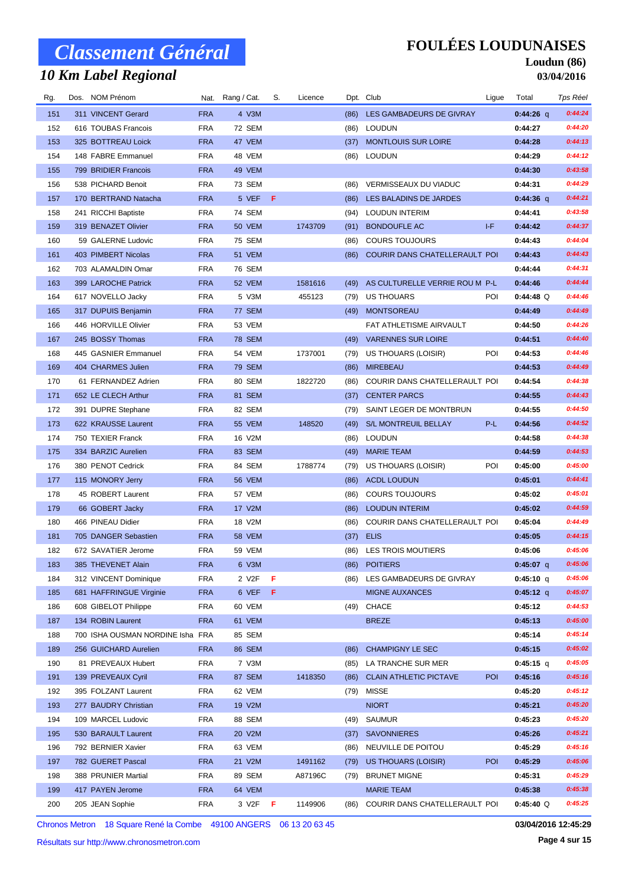## *10 Km Label Regional*

### **FOULÉES LOUDUNAISES**

#### **Loudun (86) 03/04/2016**

| Rg. | Dos. NOM Prénom                  |            | Nat. Rang / Cat.   | S.  | Licence |      | Dpt. Club                      | Ligue      | Total       | Tps Réel |
|-----|----------------------------------|------------|--------------------|-----|---------|------|--------------------------------|------------|-------------|----------|
| 151 | 311 VINCENT Gerard               | <b>FRA</b> | 4 V3M              |     |         | (86) | LES GAMBADEURS DE GIVRAY       |            | $0:44:26$ q | 0:44:24  |
| 152 | 616 TOUBAS Francois              | <b>FRA</b> | 72 SEM             |     |         |      | (86) LOUDUN                    |            | 0:44:27     | 0:44:20  |
| 153 | 325 BOTTREAU Loick               | <b>FRA</b> | 47 VEM             |     |         | (37) | <b>MONTLOUIS SUR LOIRE</b>     |            | 0:44:28     | 0:44:13  |
| 154 | 148 FABRE Emmanuel               | <b>FRA</b> | 48 VEM             |     |         |      | (86) LOUDUN                    |            | 0:44:29     | 0:44:12  |
| 155 | 799 BRIDIER Francois             | <b>FRA</b> | 49 VEM             |     |         |      |                                |            | 0:44:30     | 0:43:58  |
| 156 | 538 PICHARD Benoit               | <b>FRA</b> | 73 SEM             |     |         | (86) | VERMISSEAUX DU VIADUC          |            | 0:44:31     | 0:44:29  |
| 157 | 170 BERTRAND Natacha             | <b>FRA</b> | 5 VEF              | - F |         | (86) | LES BALADINS DE JARDES         |            | 0:44:36 q   | 0:44:21  |
| 158 | 241 RICCHI Baptiste              | <b>FRA</b> | 74 SEM             |     |         | (94) | <b>LOUDUN INTERIM</b>          |            | 0:44:41     | 0:43:58  |
| 159 | 319 BENAZET Olivier              | <b>FRA</b> | 50 VEM             |     | 1743709 | (91) | <b>BONDOUFLE AC</b>            | I-F        | 0:44:42     | 0:44:37  |
| 160 | 59 GALERNE Ludovic               | <b>FRA</b> | 75 SEM             |     |         | (86) | <b>COURS TOUJOURS</b>          |            | 0:44:43     | 0:44:04  |
| 161 | 403 PIMBERT Nicolas              | <b>FRA</b> | 51 VEM             |     |         | (86) | COURIR DANS CHATELLERAULT POI  |            | 0:44:43     | 0:44:43  |
| 162 | 703 ALAMALDIN Omar               | <b>FRA</b> | 76 SEM             |     |         |      |                                |            | 0:44:44     | 0:44:31  |
| 163 | 399 LAROCHE Patrick              | <b>FRA</b> | 52 VEM             |     | 1581616 | (49) | AS CULTURELLE VERRIE ROU M P-L |            | 0:44:46     | 0:44:44  |
| 164 | 617 NOVELLO Jacky                | <b>FRA</b> | 5 V3M              |     | 455123  | (79) | <b>US THOUARS</b>              | POI        | $0:44:48$ Q | 0:44:46  |
| 165 | 317 DUPUIS Benjamin              | <b>FRA</b> | 77 SEM             |     |         |      | (49) MONTSOREAU                |            | 0:44:49     | 0:44:49  |
| 166 | 446 HORVILLE Olivier             | <b>FRA</b> | 53 VEM             |     |         |      | FAT ATHLETISME AIRVAULT        |            | 0:44:50     | 0:44:26  |
| 167 | 245 BOSSY Thomas                 | <b>FRA</b> | <b>78 SEM</b>      |     |         |      | (49) VARENNES SUR LOIRE        |            | 0:44:51     | 0:44:40  |
| 168 | 445 GASNIER Emmanuel             | <b>FRA</b> | 54 VEM             |     | 1737001 | (79) | <b>US THOUARS (LOISIR)</b>     | POI        | 0:44:53     | 0:44:46  |
| 169 | 404 CHARMES Julien               | <b>FRA</b> | 79 SEM             |     |         | (86) | <b>MIREBEAU</b>                |            | 0:44:53     | 0:44:49  |
| 170 | 61 FERNANDEZ Adrien              | <b>FRA</b> | 80 SEM             |     | 1822720 | (86) | COURIR DANS CHATELLERAULT POI  |            | 0:44:54     | 0:44:38  |
| 171 | 652 LE CLECH Arthur              | <b>FRA</b> | 81 SEM             |     |         | (37) | <b>CENTER PARCS</b>            |            | 0:44:55     | 0:44:43  |
| 172 | 391 DUPRE Stephane               | <b>FRA</b> | 82 SEM             |     |         | (79) | SAINT LEGER DE MONTBRUN        |            | 0:44:55     | 0:44:50  |
| 173 | 622 KRAUSSE Laurent              | <b>FRA</b> | <b>55 VEM</b>      |     | 148520  | (49) | S/L MONTREUIL BELLAY           | P-L        | 0:44:56     | 0:44:52  |
| 174 | 750 TEXIER Franck                | <b>FRA</b> | 16 V2M             |     |         |      | (86) LOUDUN                    |            | 0:44:58     | 0:44:38  |
| 175 | 334 BARZIC Aurelien              | <b>FRA</b> | 83 SEM             |     |         | (49) | <b>MARIE TEAM</b>              |            | 0:44:59     | 0:44:53  |
| 176 | 380 PENOT Cedrick                | <b>FRA</b> | 84 SEM             |     | 1788774 | (79) | US THOUARS (LOISIR)            | POI        | 0:45:00     | 0:45:00  |
| 177 | 115 MONORY Jerry                 | <b>FRA</b> | <b>56 VEM</b>      |     |         | (86) | <b>ACDL LOUDUN</b>             |            | 0:45:01     | 0:44:41  |
| 178 | 45 ROBERT Laurent                | <b>FRA</b> | 57 VEM             |     |         | (86) | <b>COURS TOUJOURS</b>          |            | 0:45:02     | 0:45:01  |
| 179 | 66 GOBERT Jacky                  | <b>FRA</b> | 17 V2M             |     |         | (86) | <b>LOUDUN INTERIM</b>          |            | 0:45:02     | 0:44:59  |
| 180 | 466 PINEAU Didier                | <b>FRA</b> | 18 V2M             |     |         | (86) | COURIR DANS CHATELLERAULT POI  |            | 0:45:04     | 0:44:49  |
| 181 | 705 DANGER Sebastien             | <b>FRA</b> | <b>58 VEM</b>      |     |         | (37) | <b>ELIS</b>                    |            | 0:45:05     | 0:44:15  |
| 182 | 672 SAVATIER Jerome              | <b>FRA</b> | 59 VEM             |     |         |      | (86) LES TROIS MOUTIERS        |            | 0:45:06     | 0:45:06  |
| 183 | 385 THEVENET Alain               | FRA        | 6 V3M              |     |         |      | (86) POITIERS                  |            | 0:45:07 $q$ | 0:45:06  |
| 184 | 312 VINCENT Dominique            | <b>FRA</b> | 2 V <sub>2</sub> F | F   |         |      | (86) LES GAMBADEURS DE GIVRAY  |            | $0:45:10$ q | 0:45:06  |
| 185 | 681 HAFFRINGUE Virginie          | <b>FRA</b> | 6 VEF              | - F |         |      | <b>MIGNE AUXANCES</b>          |            | 0:45:12 q   | 0:45:07  |
| 186 | 608 GIBELOT Philippe             | <b>FRA</b> | 60 VEM             |     |         | (49) | CHACE                          |            | 0:45:12     | 0:44:53  |
| 187 | 134 ROBIN Laurent                | <b>FRA</b> | 61 VEM             |     |         |      | <b>BREZE</b>                   |            | 0:45:13     | 0:45:00  |
| 188 | 700 ISHA OUSMAN NORDINE Isha FRA |            | 85 SEM             |     |         |      |                                |            | 0:45:14     | 0:45:14  |
| 189 | 256 GUICHARD Aurelien            | <b>FRA</b> | 86 SEM             |     |         | (86) | <b>CHAMPIGNY LE SEC</b>        |            | 0:45:15     | 0:45:02  |
| 190 | 81 PREVEAUX Hubert               | <b>FRA</b> | 7 V3M              |     |         |      | (85) LA TRANCHE SUR MER        |            | 0:45:15 q   | 0:45:05  |
| 191 | 139 PREVEAUX Cyril               | <b>FRA</b> | 87 SEM             |     | 1418350 | (86) | <b>CLAIN ATHLETIC PICTAVE</b>  | POI        | 0:45:16     | 0:45:16  |
| 192 | 395 FOLZANT Laurent              | FRA        | 62 VEM             |     |         |      | (79) MISSE                     |            | 0:45:20     | 0:45:12  |
| 193 | 277 BAUDRY Christian             | <b>FRA</b> | 19 V2M             |     |         |      | <b>NIORT</b>                   |            | 0:45:21     | 0:45:20  |
| 194 | 109 MARCEL Ludovic               | <b>FRA</b> | 88 SEM             |     |         | (49) | SAUMUR                         |            | 0:45:23     | 0:45:20  |
| 195 | 530 BARAULT Laurent              | <b>FRA</b> | 20 V2M             |     |         | (37) | <b>SAVONNIERES</b>             |            | 0:45:26     | 0:45:21  |
| 196 | 792 BERNIER Xavier               | <b>FRA</b> | 63 VEM             |     |         | (86) | NEUVILLE DE POITOU             |            | 0:45:29     | 0:45:16  |
| 197 | 782 GUERET Pascal                | <b>FRA</b> | 21 V2M             |     | 1491162 | (79) | US THOUARS (LOISIR)            | <b>POI</b> | 0:45:29     | 0:45:06  |
| 198 | 388 PRUNIER Martial              | <b>FRA</b> | 89 SEM             |     | A87196C | (79) | <b>BRUNET MIGNE</b>            |            | 0:45:31     | 0:45:29  |
| 199 | 417 PAYEN Jerome                 | <b>FRA</b> | 64 VEM             |     |         |      | <b>MARIE TEAM</b>              |            | 0:45:38     | 0:45:38  |
| 200 | 205 JEAN Sophie                  | FRA        | 3 V2F              | - F | 1149906 | (86) | COURIR DANS CHATELLERAULT POI  |            | $0:45:40$ Q | 0:45:25  |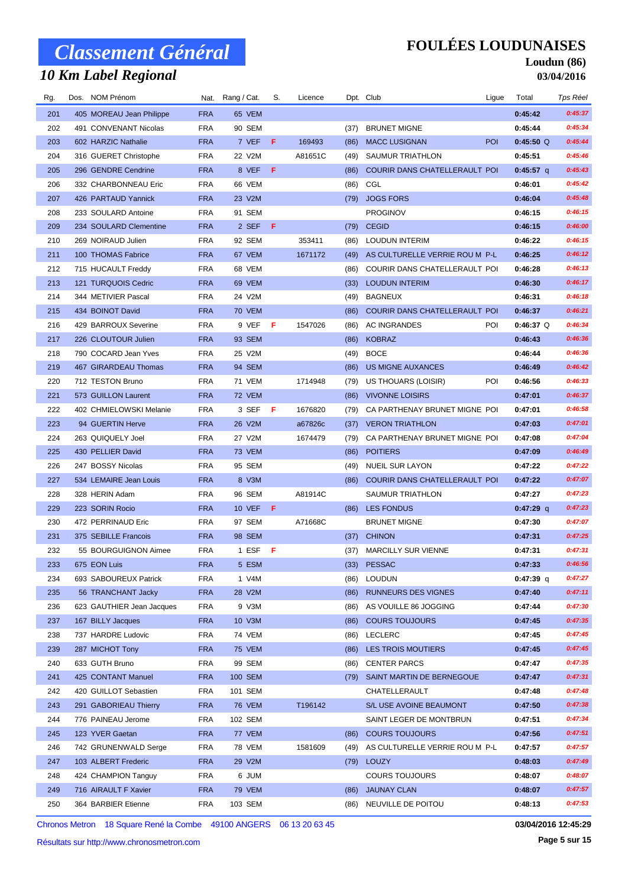## *10 Km Label Regional*

### **FOULÉES LOUDUNAISES**

#### **Loudun (86) 03/04/2016**

| Rg. | Dos. NOM Prénom           |            | Nat. Rang / Cat. | S. | Licence |      | Dpt. Club                      | Ligue | Total       | Tps Réel |
|-----|---------------------------|------------|------------------|----|---------|------|--------------------------------|-------|-------------|----------|
| 201 | 405 MOREAU Jean Philippe  | <b>FRA</b> | 65 VEM           |    |         |      |                                |       | 0:45:42     | 0:45:37  |
| 202 | 491 CONVENANT Nicolas     | <b>FRA</b> | 90 SEM           |    |         | (37) | <b>BRUNET MIGNE</b>            |       | 0:45:44     | 0:45:34  |
| 203 | 602 HARZIC Nathalie       | <b>FRA</b> | 7 VEF F          |    | 169493  | (86) | <b>MACC LUSIGNAN</b>           | POI   | 0:45:50 Q   | 0:45:44  |
| 204 | 316 GUERET Christophe     | <b>FRA</b> | 22 V2M           |    | A81651C | (49) | SAUMUR TRIATHLON               |       | 0:45:51     | 0:45:46  |
| 205 | 296 GENDRE Cendrine       | <b>FRA</b> | 8 VEF            | F  |         | (86) | COURIR DANS CHATELLERAULT POI  |       | 0:45:57 $q$ | 0:45:43  |
| 206 | 332 CHARBONNEAU Eric      | <b>FRA</b> | 66 VEM           |    |         | (86) | CGL                            |       | 0:46:01     | 0:45:42  |
| 207 | 426 PARTAUD Yannick       | <b>FRA</b> | 23 V2M           |    |         | (79) | <b>JOGS FORS</b>               |       | 0:46:04     | 0:45:48  |
| 208 | 233 SOULARD Antoine       | <b>FRA</b> | 91 SEM           |    |         |      | <b>PROGINOV</b>                |       | 0:46:15     | 0:46:15  |
| 209 | 234 SOULARD Clementine    | <b>FRA</b> | 2 SEF F          |    |         | (79) | <b>CEGID</b>                   |       | 0:46:15     | 0:46:00  |
| 210 | 269 NOIRAUD Julien        | <b>FRA</b> | 92 SEM           |    | 353411  | (86) | <b>LOUDUN INTERIM</b>          |       | 0:46:22     | 0:46:15  |
| 211 | 100 THOMAS Fabrice        | <b>FRA</b> | 67 VEM           |    | 1671172 | (49) | AS CULTURELLE VERRIE ROU M P-L |       | 0:46:25     | 0:46:12  |
| 212 | 715 HUCAULT Freddy        | <b>FRA</b> | 68 VEM           |    |         | (86) | COURIR DANS CHATELLERAULT POI  |       | 0:46:28     | 0:46:13  |
| 213 | 121 TURQUOIS Cedric       | <b>FRA</b> | 69 VEM           |    |         | (33) | <b>LOUDUN INTERIM</b>          |       | 0:46:30     | 0:46:17  |
| 214 | 344 METIVIER Pascal       | <b>FRA</b> | 24 V2M           |    |         | (49) | <b>BAGNEUX</b>                 |       | 0:46:31     | 0:46:18  |
| 215 | 434 BOINOT David          | <b>FRA</b> | 70 VEM           |    |         | (86) | COURIR DANS CHATELLERAULT POI  |       | 0:46:37     | 0:46:21  |
| 216 | 429 BARROUX Severine      | <b>FRA</b> | 9 VEFFF          |    | 1547026 | (86) | AC INGRANDES                   | POI   | $0:46:37$ Q | 0:46:34  |
| 217 | 226 CLOUTOUR Julien       | <b>FRA</b> | 93 SEM           |    |         | (86) | <b>KOBRAZ</b>                  |       | 0:46:43     | 0:46:36  |
| 218 | 790 COCARD Jean Yves      | <b>FRA</b> | 25 V2M           |    |         | (49) | <b>BOCE</b>                    |       | 0:46:44     | 0:46:36  |
| 219 | 467 GIRARDEAU Thomas      | <b>FRA</b> | 94 SEM           |    |         | (86) | US MIGNE AUXANCES              |       | 0:46:49     | 0:46:42  |
| 220 | 712 TESTON Bruno          | <b>FRA</b> | 71 VEM           |    | 1714948 | (79) | US THOUARS (LOISIR)            | POI   | 0:46:56     | 0:46:33  |
| 221 | 573 GUILLON Laurent       | <b>FRA</b> | 72 VEM           |    |         | (86) | <b>VIVONNE LOISIRS</b>         |       | 0:47:01     | 0:46:37  |
| 222 | 402 CHMIELOWSKI Melanie   | <b>FRA</b> | 3 SEF F          |    | 1676820 | (79) | CA PARTHENAY BRUNET MIGNE POI  |       | 0:47:01     | 0:46:58  |
| 223 | 94 GUERTIN Herve          | <b>FRA</b> | 26 V2M           |    | a67826c | (37) | <b>VERON TRIATHLON</b>         |       | 0:47:03     | 0:47:01  |
| 224 | 263 QUIQUELY Joel         | <b>FRA</b> | 27 V2M           |    | 1674479 | (79) | CA PARTHENAY BRUNET MIGNE POI  |       | 0:47:08     | 0:47:04  |
| 225 | 430 PELLIER David         | <b>FRA</b> | <b>73 VEM</b>    |    |         | (86) | <b>POITIERS</b>                |       | 0:47:09     | 0:46:49  |
| 226 | 247 BOSSY Nicolas         | <b>FRA</b> | 95 SEM           |    |         | (49) | <b>NUEIL SUR LAYON</b>         |       | 0:47:22     | 0:47:22  |
| 227 | 534 LEMAIRE Jean Louis    | <b>FRA</b> | 8 V3M            |    |         | (86) | COURIR DANS CHATELLERAULT POI  |       | 0:47:22     | 0:47:07  |
| 228 | 328 HERIN Adam            | <b>FRA</b> | 96 SEM           |    | A81914C |      | <b>SAUMUR TRIATHLON</b>        |       | 0:47:27     | 0:47:23  |
| 229 | 223 SORIN Rocio           | <b>FRA</b> | 10 VEF <b>F</b>  |    |         |      | (86) LES FONDUS                |       | $0:47:29$ q | 0:47:23  |
| 230 | 472 PERRINAUD Eric        | <b>FRA</b> | 97 SEM           |    | A71668C |      | <b>BRUNET MIGNE</b>            |       | 0:47:30     | 0:47:07  |
| 231 | 375 SEBILLE Francois      | <b>FRA</b> | <b>98 SEM</b>    |    |         | (37) | <b>CHINON</b>                  |       | 0:47:31     | 0:47:25  |
| 232 | 55 BOURGUIGNON Aimee      | <b>FRA</b> | 1 ESF $F$        |    |         |      | (37) MARCILLY SUR VIENNE       |       | 0:47:31     | 0:47:31  |
| 233 | 675 EON Luis              | <b>FRA</b> | 5 ESM            |    |         | (33) | <b>PESSAC</b>                  |       | 0:47:33     | 0:46:56  |
| 234 | 693 SABOUREUX Patrick     | <b>FRA</b> | 1 V4M            |    |         | (86) | <b>LOUDUN</b>                  |       | $0:47:39$ q | 0:47:27  |
| 235 | 56 TRANCHANT Jacky        | <b>FRA</b> | 28 V2M           |    |         | (86) | RUNNEURS DES VIGNES            |       | 0:47:40     | 0:47:11  |
| 236 | 623 GAUTHIER Jean Jacques | <b>FRA</b> | 9 V3M            |    |         | (86) | AS VOUILLE 86 JOGGING          |       | 0:47:44     | 0:47:30  |
| 237 | 167 BILLY Jacques         | <b>FRA</b> | 10 V3M           |    |         | (86) | <b>COURS TOUJOURS</b>          |       | 0:47:45     | 0:47:35  |
| 238 | 737 HARDRE Ludovic        | <b>FRA</b> | 74 VEM           |    |         | (86) | LECLERC                        |       | 0:47:45     | 0:47:45  |
| 239 | 287 MICHOT Tony           | <b>FRA</b> | 75 VEM           |    |         | (86) | LES TROIS MOUTIERS             |       | 0:47:45     | 0:47:45  |
| 240 | 633 GUTH Bruno            | <b>FRA</b> | 99 SEM           |    |         | (86) | <b>CENTER PARCS</b>            |       | 0:47:47     | 0:47:35  |
| 241 | 425 CONTANT Manuel        | <b>FRA</b> | 100 SEM          |    |         |      | (79) SAINT MARTIN DE BERNEGOUE |       | 0:47:47     | 0:47:31  |
| 242 | 420 GUILLOT Sebastien     | <b>FRA</b> | 101 SEM          |    |         |      | CHATELLERAULT                  |       | 0:47:48     | 0:47:48  |
| 243 | 291 GABORIEAU Thierry     | <b>FRA</b> | <b>76 VEM</b>    |    | T196142 |      | S/L USE AVOINE BEAUMONT        |       | 0:47:50     | 0:47:38  |
| 244 | 776 PAINEAU Jerome        | <b>FRA</b> | 102 SEM          |    |         |      | SAINT LEGER DE MONTBRUN        |       | 0:47:51     | 0:47:34  |
| 245 | 123 YVER Gaetan           | <b>FRA</b> | 77 VEM           |    |         | (86) | <b>COURS TOUJOURS</b>          |       | 0:47:56     | 0:47:51  |
| 246 | 742 GRUNENWALD Serge      | <b>FRA</b> | 78 VEM           |    | 1581609 | (49) | AS CULTURELLE VERRIE ROU M P-L |       | 0:47:57     | 0:47:57  |
| 247 | 103 ALBERT Frederic       | <b>FRA</b> | 29 V2M           |    |         | (79) | <b>LOUZY</b>                   |       | 0:48:03     | 0:47:49  |
| 248 | 424 CHAMPION Tanguy       | <b>FRA</b> | 6 JUM            |    |         |      | <b>COURS TOUJOURS</b>          |       | 0:48:07     | 0:48:07  |
| 249 | 716 AIRAULT F Xavier      | <b>FRA</b> | 79 VEM           |    |         | (86) | <b>JAUNAY CLAN</b>             |       | 0:48:07     | 0:47:57  |
| 250 | 364 BARBIER Etienne       | FRA        | 103 SEM          |    |         |      | (86) NEUVILLE DE POITOU        |       | 0:48:13     | 0:47:53  |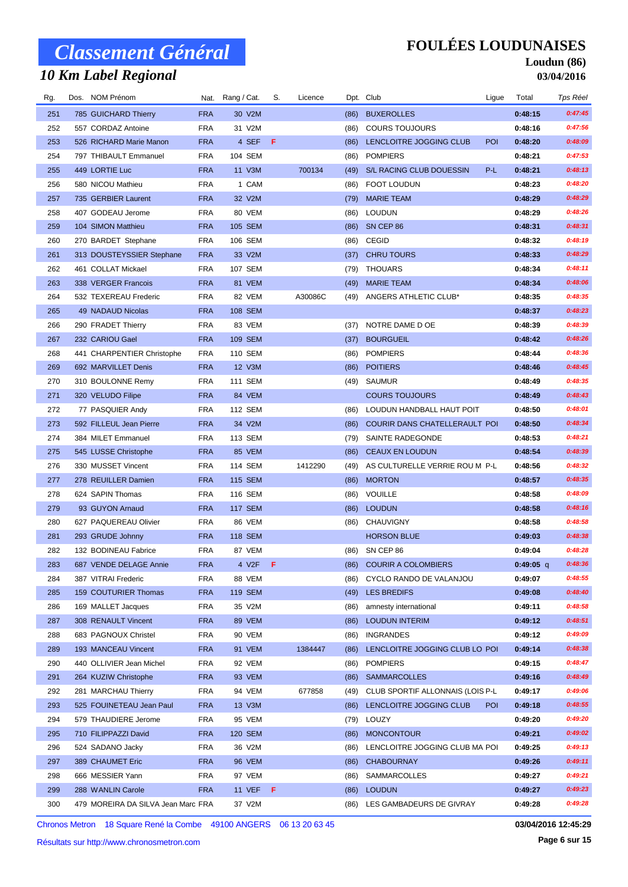## *10 Km Label Regional*

### **FOULÉES LOUDUNAISES**

#### **Loudun (86) 03/04/2016**

| Rg. | Dos. NOM Prénom |                                    |            | Nat. Rang / Cat. | S. | Licence |      | Dpt. Club                        | Ligue      | Total       | Tps Réel |
|-----|-----------------|------------------------------------|------------|------------------|----|---------|------|----------------------------------|------------|-------------|----------|
| 251 |                 | 785 GUICHARD Thierry               | <b>FRA</b> | 30 V2M           |    |         | (86) | <b>BUXEROLLES</b>                |            | 0:48:15     | 0:47:45  |
| 252 |                 | 557 CORDAZ Antoine                 | <b>FRA</b> | 31 V2M           |    |         | (86) | <b>COURS TOUJOURS</b>            |            | 0:48:16     | 0:47:56  |
| 253 |                 | 526 RICHARD Marie Manon            | <b>FRA</b> | 4 SEF            | -F |         | (86) | LENCLOITRE JOGGING CLUB          | <b>POI</b> | 0:48:20     | 0:48:09  |
| 254 |                 | 797 THIBAULT Emmanuel              | <b>FRA</b> | 104 SEM          |    |         | (86) | <b>POMPIERS</b>                  |            | 0:48:21     | 0:47:53  |
| 255 |                 | 449 LORTIE Luc                     | <b>FRA</b> | 11 V3M           |    | 700134  | (49) | S/L RACING CLUB DOUESSIN         | P-L        | 0:48:21     | 0:48:13  |
| 256 |                 | 580 NICOU Mathieu                  | <b>FRA</b> | 1 CAM            |    |         | (86) | <b>FOOT LOUDUN</b>               |            | 0:48:23     | 0:48:20  |
| 257 |                 | 735 GERBIER Laurent                | <b>FRA</b> | 32 V2M           |    |         | (79) | <b>MARIE TEAM</b>                |            | 0:48:29     | 0:48:29  |
| 258 |                 | 407 GODEAU Jerome                  | <b>FRA</b> | 80 VEM           |    |         | (86) | <b>LOUDUN</b>                    |            | 0:48:29     | 0:48:26  |
| 259 |                 | 104 SIMON Matthieu                 | <b>FRA</b> | 105 SEM          |    |         | (86) | SN CEP 86                        |            | 0:48:31     | 0:48:31  |
| 260 |                 | 270 BARDET Stephane                | <b>FRA</b> | 106 SEM          |    |         | (86) | <b>CEGID</b>                     |            | 0:48:32     | 0:48:19  |
| 261 |                 | 313 DOUSTEYSSIER Stephane          | <b>FRA</b> | 33 V2M           |    |         | (37) | <b>CHRU TOURS</b>                |            | 0:48:33     | 0:48:29  |
| 262 |                 | 461 COLLAT Mickael                 | <b>FRA</b> | 107 SEM          |    |         | (79) | <b>THOUARS</b>                   |            | 0:48:34     | 0:48:11  |
| 263 |                 | 338 VERGER Francois                | <b>FRA</b> | 81 VEM           |    |         | (49) | <b>MARIE TEAM</b>                |            | 0:48:34     | 0:48:06  |
| 264 |                 | 532 TEXEREAU Frederic              | <b>FRA</b> | 82 VEM           |    | A30086C | (49) | ANGERS ATHLETIC CLUB*            |            | 0:48:35     | 0:48:35  |
| 265 |                 | 49 NADAUD Nicolas                  | <b>FRA</b> | 108 SEM          |    |         |      |                                  |            | 0:48:37     | 0:48:23  |
| 266 |                 | 290 FRADET Thierry                 | <b>FRA</b> | 83 VEM           |    |         | (37) | NOTRE DAME D OE                  |            | 0:48:39     | 0:48:39  |
| 267 |                 | 232 CARIOU Gael                    | <b>FRA</b> | <b>109 SEM</b>   |    |         | (37) | <b>BOURGUEIL</b>                 |            | 0:48:42     | 0:48:26  |
| 268 |                 | 441 CHARPENTIER Christophe         | <b>FRA</b> | 110 SEM          |    |         | (86) | <b>POMPIERS</b>                  |            | 0:48:44     | 0:48:36  |
| 269 |                 | 692 MARVILLET Denis                | <b>FRA</b> | 12 V3M           |    |         | (86) | <b>POITIERS</b>                  |            | 0:48:46     | 0:48:45  |
| 270 |                 | 310 BOULONNE Remy                  | <b>FRA</b> | 111 SEM          |    |         | (49) | <b>SAUMUR</b>                    |            | 0:48:49     | 0:48:35  |
| 271 |                 | 320 VELUDO Filipe                  | <b>FRA</b> | 84 VEM           |    |         |      | <b>COURS TOUJOURS</b>            |            | 0:48:49     | 0:48:43  |
| 272 |                 | 77 PASQUIER Andy                   | <b>FRA</b> | 112 SEM          |    |         | (86) | LOUDUN HANDBALL HAUT POIT        |            | 0:48:50     | 0:48:01  |
| 273 |                 | 592 FILLEUL Jean Pierre            | <b>FRA</b> | 34 V2M           |    |         | (86) | COURIR DANS CHATELLERAULT POI    |            | 0:48:50     | 0:48:34  |
| 274 |                 | 384 MILET Emmanuel                 | <b>FRA</b> | 113 SEM          |    |         | (79) | SAINTE RADEGONDE                 |            | 0:48:53     | 0:48:21  |
| 275 |                 | 545 LUSSE Christophe               | <b>FRA</b> | 85 VEM           |    |         | (86) | <b>CEAUX EN LOUDUN</b>           |            | 0:48:54     | 0:48:39  |
| 276 |                 | 330 MUSSET Vincent                 | <b>FRA</b> | 114 SEM          |    | 1412290 | (49) | AS CULTURELLE VERRIE ROU M P-L   |            | 0:48:56     | 0:48:32  |
| 277 |                 | 278 REUILLER Damien                | <b>FRA</b> | 115 SEM          |    |         | (86) | <b>MORTON</b>                    |            | 0:48:57     | 0:48:35  |
| 278 |                 | 624 SAPIN Thomas                   | <b>FRA</b> | 116 SEM          |    |         | (86) | VOUILLE                          |            | 0:48:58     | 0:48:09  |
| 279 |                 | 93 GUYON Arnaud                    | <b>FRA</b> | <b>117 SEM</b>   |    |         | (86) | <b>LOUDUN</b>                    |            | 0:48:58     | 0:48:16  |
| 280 |                 | 627 PAQUEREAU Olivier              | <b>FRA</b> | 86 VEM           |    |         | (86) | CHAUVIGNY                        |            | 0:48:58     | 0:48:58  |
| 281 |                 | 293 GRUDE Johnny                   | <b>FRA</b> | <b>118 SEM</b>   |    |         |      | <b>HORSON BLUE</b>               |            | 0:49:03     | 0:48:38  |
| 282 |                 | 132 BODINEAU Fabrice               | <b>FRA</b> | 87 VEM           |    |         |      | (86) SN CEP 86                   |            | 0:49:04     | 0:48:28  |
| 283 |                 | 687 VENDE DELAGE Annie             | <b>FRA</b> | 4 V2F <b>F</b>   |    |         |      | (86) COURIR A COLOMBIERS         |            | $0:49:05$ q | 0:48:36  |
| 284 |                 | 387 VITRAI Frederic                | <b>FRA</b> | 88 VEM           |    |         | (86) | CYCLO RANDO DE VALANJOU          |            | 0:49:07     | 0:48:55  |
| 285 |                 | 159 COUTURIER Thomas               | <b>FRA</b> | 119 SEM          |    |         | (49) | <b>LES BREDIFS</b>               |            | 0:49:08     | 0:48:40  |
| 286 |                 | 169 MALLET Jacques                 | <b>FRA</b> | 35 V2M           |    |         | (86) | amnesty international            |            | 0:49:11     | 0:48:58  |
| 287 |                 | 308 RENAULT Vincent                | <b>FRA</b> | 89 VEM           |    |         | (86) | <b>LOUDUN INTERIM</b>            |            | 0:49:12     | 0:48:51  |
| 288 |                 | 683 PAGNOUX Christel               | <b>FRA</b> | 90 VEM           |    |         | (86) | <b>INGRANDES</b>                 |            | 0:49:12     | 0:49:09  |
| 289 |                 | 193 MANCEAU Vincent                | <b>FRA</b> | 91 VEM           |    | 1384447 | (86) | LENCLOITRE JOGGING CLUB LO POI   |            | 0:49:14     | 0:48:38  |
| 290 |                 | 440 OLLIVIER Jean Michel           | <b>FRA</b> | 92 VEM           |    |         | (86) | <b>POMPIERS</b>                  |            | 0:49:15     | 0:48:47  |
| 291 |                 | 264 KUZIW Christophe               | <b>FRA</b> | 93 VEM           |    |         | (86) | <b>SAMMARCOLLES</b>              |            | 0:49:16     | 0:48:49  |
| 292 |                 | 281 MARCHAU Thierry                | <b>FRA</b> | 94 VEM           |    | 677858  | (49) | CLUB SPORTIF ALLONNAIS (LOIS P-L |            | 0:49:17     | 0:49:06  |
| 293 |                 | 525 FOUINETEAU Jean Paul           | <b>FRA</b> | 13 V3M           |    |         | (86) | LENCLOITRE JOGGING CLUB          | <b>POI</b> | 0:49:18     | 0:48:55  |
| 294 |                 | 579 THAUDIERE Jerome               | <b>FRA</b> | 95 VEM           |    |         | (79) | LOUZY                            |            | 0:49:20     | 0:49:20  |
| 295 |                 | 710 FILIPPAZZI David               | <b>FRA</b> | 120 SEM          |    |         | (86) | <b>MONCONTOUR</b>                |            | 0:49:21     | 0:49:02  |
| 296 |                 | 524 SADANO Jacky                   | <b>FRA</b> | 36 V2M           |    |         | (86) | LENCLOITRE JOGGING CLUB MA POI   |            | 0:49:25     | 0:49:13  |
| 297 |                 | 389 CHAUMET Eric                   | <b>FRA</b> | 96 VEM           |    |         | (86) | <b>CHABOURNAY</b>                |            | 0:49:26     | 0:49:11  |
| 298 |                 | 666 MESSIER Yann                   | <b>FRA</b> | 97 VEM           |    |         | (86) | <b>SAMMARCOLLES</b>              |            | 0:49:27     | 0:49:21  |
| 299 |                 | 288 WANLIN Carole                  | <b>FRA</b> | 11 VEF <b>F</b>  |    |         | (86) | <b>LOUDUN</b>                    |            | 0:49:27     | 0:49:23  |
| 300 |                 | 479 MOREIRA DA SILVA Jean Marc FRA |            | 37 V2M           |    |         | (86) | LES GAMBADEURS DE GIVRAY         |            | 0:49:28     | 0:49:28  |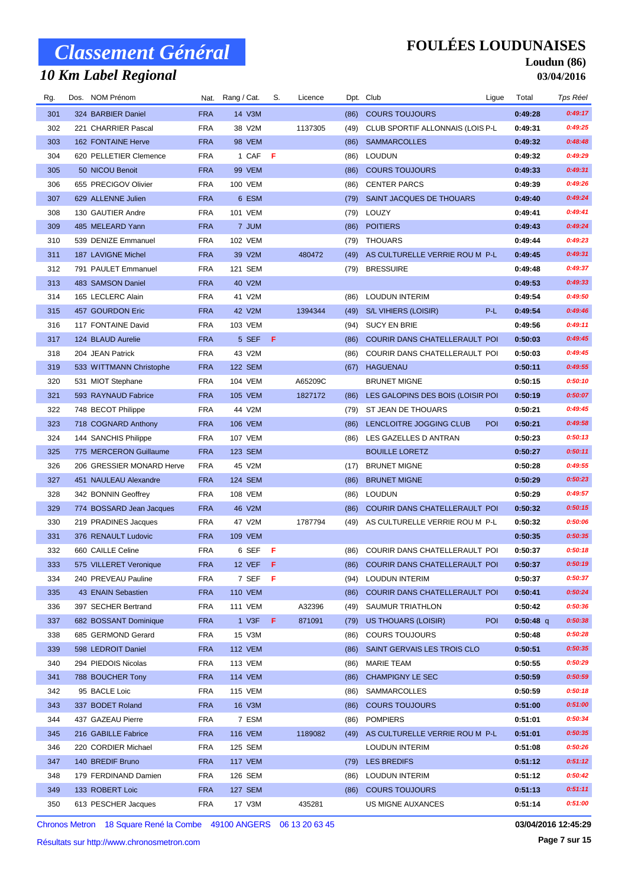## *10 Km Label Regional*

### **FOULÉES LOUDUNAISES**

#### **Loudun (86) 03/04/2016**

| Rg. | Dos. NOM Prénom           |            | Nat. Rang / Cat. | S.  | Licence |      | Dpt. Club                          | Ligue      | Total       | Tps Réel |
|-----|---------------------------|------------|------------------|-----|---------|------|------------------------------------|------------|-------------|----------|
| 301 | 324 BARBIER Daniel        | <b>FRA</b> | 14 V3M           |     |         | (86) | <b>COURS TOUJOURS</b>              |            | 0:49:28     | 0:49:17  |
| 302 | 221 CHARRIER Pascal       | <b>FRA</b> | 38 V2M           |     | 1137305 | (49) | CLUB SPORTIF ALLONNAIS (LOIS P-L   |            | 0:49:31     | 0:49:25  |
| 303 | 162 FONTAINE Herve        | <b>FRA</b> | 98 VEM           |     |         | (86) | <b>SAMMARCOLLES</b>                |            | 0:49:32     | 0:48:48  |
| 304 | 620 PELLETIER Clemence    | <b>FRA</b> | 1 CAF            | - F |         | (86) | <b>LOUDUN</b>                      |            | 0:49:32     | 0:49:29  |
| 305 | 50 NICOU Benoit           | <b>FRA</b> | <b>99 VEM</b>    |     |         | (86) | <b>COURS TOUJOURS</b>              |            | 0:49:33     | 0:49:31  |
| 306 | 655 PRECIGOV Olivier      | <b>FRA</b> | 100 VEM          |     |         | (86) | <b>CENTER PARCS</b>                |            | 0:49:39     | 0:49:26  |
| 307 | 629 ALLENNE Julien        | <b>FRA</b> | 6 ESM            |     |         | (79) | SAINT JACQUES DE THOUARS           |            | 0:49:40     | 0:49:24  |
| 308 | 130 GAUTIER Andre         | <b>FRA</b> | 101 VEM          |     |         | (79) | LOUZY                              |            | 0:49:41     | 0:49:41  |
| 309 | 485 MELEARD Yann          | <b>FRA</b> | 7 JUM            |     |         | (86) | <b>POITIERS</b>                    |            | 0:49:43     | 0:49:24  |
| 310 | 539 DENIZE Emmanuel       | <b>FRA</b> | <b>102 VEM</b>   |     |         | (79) | <b>THOUARS</b>                     |            | 0:49:44     | 0:49:23  |
| 311 | 187 LAVIGNE Michel        | <b>FRA</b> | 39 V2M           |     | 480472  | (49) | AS CULTURELLE VERRIE ROU M P-L     |            | 0:49:45     | 0:49:31  |
| 312 | 791 PAULET Emmanuel       | <b>FRA</b> | 121 SEM          |     |         | (79) | <b>BRESSUIRE</b>                   |            | 0:49:48     | 0:49:37  |
| 313 | 483 SAMSON Daniel         | <b>FRA</b> | 40 V2M           |     |         |      |                                    |            | 0:49:53     | 0:49:33  |
| 314 | 165 LECLERC Alain         | <b>FRA</b> | 41 V2M           |     |         | (86) | <b>LOUDUN INTERIM</b>              |            | 0:49:54     | 0:49:50  |
| 315 | 457 GOURDON Eric          | <b>FRA</b> | 42 V2M           |     | 1394344 | (49) | S/L VIHIERS (LOISIR)               | P-L        | 0:49:54     | 0:49:46  |
| 316 | 117 FONTAINE David        | <b>FRA</b> | 103 VEM          |     |         | (94) | <b>SUCY EN BRIE</b>                |            | 0:49:56     | 0:49:11  |
| 317 | 124 BLAUD Aurelie         | <b>FRA</b> | 5 SEF            | - F |         | (86) | COURIR DANS CHATELLERAULT POI      |            | 0:50:03     | 0:49:45  |
| 318 | 204 JEAN Patrick          | <b>FRA</b> | 43 V2M           |     |         | (86) | COURIR DANS CHATELLERAULT POI      |            | 0:50:03     | 0:49:45  |
| 319 | 533 WITTMANN Christophe   | <b>FRA</b> | <b>122 SEM</b>   |     |         | (67) | HAGUENAU                           |            | 0:50:11     | 0:49:55  |
| 320 | 531 MIOT Stephane         | <b>FRA</b> | 104 VEM          |     | A65209C |      | <b>BRUNET MIGNE</b>                |            | 0:50:15     | 0:50:10  |
| 321 | 593 RAYNAUD Fabrice       | <b>FRA</b> | <b>105 VEM</b>   |     | 1827172 | (86) | LES GALOPINS DES BOIS (LOISIR POI  |            | 0:50:19     | 0:50:07  |
| 322 | 748 BECOT Philippe        | <b>FRA</b> | 44 V2M           |     |         | (79) | ST JEAN DE THOUARS                 |            | 0:50:21     | 0:49:45  |
| 323 | 718 COGNARD Anthony       | <b>FRA</b> | <b>106 VEM</b>   |     |         | (86) | LENCLOITRE JOGGING CLUB            | POI        | 0:50:21     | 0:49:58  |
| 324 | 144 SANCHIS Philippe      | <b>FRA</b> | <b>107 VEM</b>   |     |         |      | (86) LES GAZELLES D ANTRAN         |            | 0:50:23     | 0:50:13  |
| 325 | 775 MERCERON Guillaume    | <b>FRA</b> | 123 SEM          |     |         |      | <b>BOUILLE LORETZ</b>              |            | 0:50:27     | 0:50:11  |
| 326 | 206 GRESSIER MONARD Herve | <b>FRA</b> | 45 V2M           |     |         | (17) | <b>BRUNET MIGNE</b>                |            | 0:50:28     | 0:49:55  |
| 327 | 451 NAULEAU Alexandre     | <b>FRA</b> | <b>124 SEM</b>   |     |         | (86) | <b>BRUNET MIGNE</b>                |            | 0:50:29     | 0:50:23  |
| 328 | 342 BONNIN Geoffrey       | <b>FRA</b> | 108 VEM          |     |         | (86) | LOUDUN                             |            | 0:50:29     | 0:49:57  |
| 329 | 774 BOSSARD Jean Jacques  | <b>FRA</b> | 46 V2M           |     |         | (86) | COURIR DANS CHATELLERAULT POI      |            | 0:50:32     | 0:50:15  |
| 330 | 219 PRADINES Jacques      | <b>FRA</b> | 47 V2M           |     | 1787794 | (49) | AS CULTURELLE VERRIE ROU M P-L     |            | 0:50:32     | 0:50:06  |
| 331 | 376 RENAULT Ludovic       | <b>FRA</b> | <b>109 VEM</b>   |     |         |      |                                    |            | 0:50:35     | 0:50:35  |
| 332 | 660 CAILLE Celine         | <b>FRA</b> | 6 SEF            | - F |         | (86) | COURIR DANS CHATELLERAULT POI      |            | 0:50:37     | 0:50:18  |
| 333 | 575 VILLERET Veronique    | <b>FRA</b> | 12 VEF F         |     |         |      | (86) COURIR DANS CHATELLERAULT POI |            | 0:50:37     | 0:50:19  |
| 334 | 240 PREVEAU Pauline       | <b>FRA</b> | 7 SEF            | F   |         | (94) | LOUDUN INTERIM                     |            | 0:50:37     | 0:50:37  |
| 335 | 43 ENAIN Sebastien        | <b>FRA</b> | <b>110 VEM</b>   |     |         | (86) | COURIR DANS CHATELLERAULT POI      |            | 0:50:41     | 0:50:24  |
| 336 | 397 SECHER Bertrand       | <b>FRA</b> | <b>111 VEM</b>   |     | A32396  | (49) | SAUMUR TRIATHLON                   |            | 0:50:42     | 0:50:36  |
| 337 | 682 BOSSANT Dominique     | <b>FRA</b> | 1 V3F            | F   | 871091  | (79) | US THOUARS (LOISIR)                | <b>POI</b> | $0:50:48$ q | 0:50:38  |
| 338 | 685 GERMOND Gerard        | <b>FRA</b> | 15 V3M           |     |         | (86) | <b>COURS TOUJOURS</b>              |            | 0:50:48     | 0:50:28  |
| 339 | 598 LEDROIT Daniel        | <b>FRA</b> | <b>112 VEM</b>   |     |         | (86) | SAINT GERVAIS LES TROIS CLO        |            | 0:50:51     | 0:50:35  |
| 340 | 294 PIEDOIS Nicolas       | <b>FRA</b> | 113 VEM          |     |         | (86) | MARIE TEAM                         |            | 0:50:55     | 0:50:29  |
| 341 | 788 BOUCHER Tony          | <b>FRA</b> | <b>114 VEM</b>   |     |         | (86) | <b>CHAMPIGNY LE SEC</b>            |            | 0:50:59     | 0:50:59  |
| 342 | 95 BACLE Loic             | <b>FRA</b> | 115 VEM          |     |         |      | (86) SAMMARCOLLES                  |            | 0:50:59     | 0:50:18  |
| 343 | 337 BODET Roland          | <b>FRA</b> | 16 V3M           |     |         | (86) | <b>COURS TOUJOURS</b>              |            | 0:51:00     | 0:51:00  |
| 344 | 437 GAZEAU Pierre         | <b>FRA</b> | 7 ESM            |     |         | (86) | <b>POMPIERS</b>                    |            | 0:51:01     | 0:50:34  |
| 345 | 216 GABILLE Fabrice       | <b>FRA</b> | <b>116 VEM</b>   |     | 1189082 | (49) | AS CULTURELLE VERRIE ROU M P-L     |            | 0:51:01     | 0:50:35  |
| 346 | 220 CORDIER Michael       | <b>FRA</b> | 125 SEM          |     |         |      | LOUDUN INTERIM                     |            | 0:51:08     | 0:50:26  |
| 347 | 140 BREDIF Bruno          | <b>FRA</b> | <b>117 VEM</b>   |     |         | (79) | <b>LES BREDIFS</b>                 |            | 0:51:12     | 0:51:12  |
| 348 | 179 FERDINAND Damien      | <b>FRA</b> | 126 SEM          |     |         | (86) | LOUDUN INTERIM                     |            | 0:51:12     | 0:50:42  |
| 349 | 133 ROBERT Loic           | <b>FRA</b> | 127 SEM          |     |         | (86) | <b>COURS TOUJOURS</b>              |            | 0:51:13     | 0:51:11  |
| 350 | 613 PESCHER Jacques       | FRA        | 17 V3M           |     | 435281  |      | US MIGNE AUXANCES                  |            | 0:51:14     | 0:51:00  |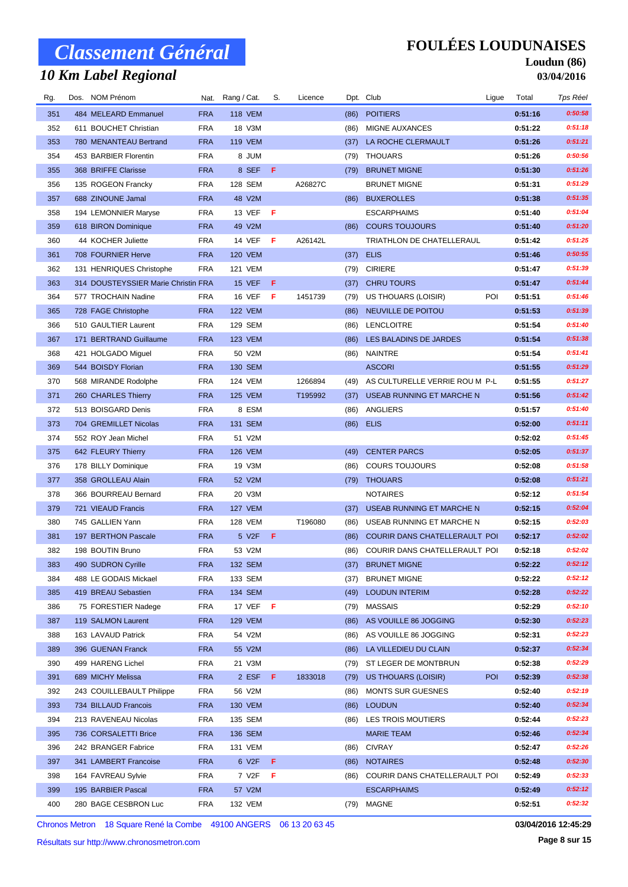## *10 Km Label Regional*

### **FOULÉES LOUDUNAISES**

#### **Loudun (86) 03/04/2016**

| Rg. | Dos. NOM Prénom                     |            | Nat. Rang / Cat. | S. | Licence |      | Dpt. Club                           | Ligue | Total   | Tps Réel |
|-----|-------------------------------------|------------|------------------|----|---------|------|-------------------------------------|-------|---------|----------|
| 351 | 484 MELEARD Emmanuel                | <b>FRA</b> | <b>118 VEM</b>   |    |         | (86) | <b>POITIERS</b>                     |       | 0:51:16 | 0:50:58  |
| 352 | 611 BOUCHET Christian               | <b>FRA</b> | 18 V3M           |    |         | (86) | <b>MIGNE AUXANCES</b>               |       | 0:51:22 | 0:51:18  |
| 353 | 780 MENANTEAU Bertrand              | <b>FRA</b> | <b>119 VEM</b>   |    |         | (37) | LA ROCHE CLERMAULT                  |       | 0:51:26 | 0:51:21  |
| 354 | 453 BARBIER Florentin               | <b>FRA</b> | 8 JUM            |    |         | (79) | <b>THOUARS</b>                      |       | 0:51:26 | 0:50:56  |
| 355 | 368 BRIFFE Clarisse                 | <b>FRA</b> | 8 SEF            | -F |         | (79) | <b>BRUNET MIGNE</b>                 |       | 0:51:30 | 0:51:26  |
| 356 | 135 ROGEON Francky                  | <b>FRA</b> | 128 SEM          |    | A26827C |      | <b>BRUNET MIGNE</b>                 |       | 0:51:31 | 0:51:29  |
| 357 | 688 ZINOUNE Jamal                   | <b>FRA</b> | 48 V2M           |    |         | (86) | <b>BUXEROLLES</b>                   |       | 0:51:38 | 0:51:35  |
| 358 | 194 LEMONNIER Maryse                | <b>FRA</b> | 13 VEF $F$       |    |         |      | <b>ESCARPHAIMS</b>                  |       | 0:51:40 | 0:51:04  |
| 359 | 618 BIRON Dominique                 | <b>FRA</b> | 49 V2M           |    |         | (86) | <b>COURS TOUJOURS</b>               |       | 0:51:40 | 0:51:20  |
| 360 | 44 KOCHER Juliette                  | <b>FRA</b> | 14 VEF           | -F | A26142L |      | TRIATHLON DE CHATELLERAUL           |       | 0:51:42 | 0:51:25  |
| 361 | 708 FOURNIER Herve                  | <b>FRA</b> | <b>120 VEM</b>   |    |         | (37) | <b>ELIS</b>                         |       | 0:51:46 | 0:50:55  |
| 362 | 131 HENRIQUES Christophe            | <b>FRA</b> | 121 VEM          |    |         | (79) | <b>CIRIERE</b>                      |       | 0:51:47 | 0:51:39  |
| 363 | 314 DOUSTEYSSIER Marie Christin FRA |            | <b>15 VEF</b>    | F  |         | (37) | <b>CHRU TOURS</b>                   |       | 0:51:47 | 0:51:44  |
| 364 | 577 TROCHAIN Nadine                 | FRA        | 16 VEF           | -F | 1451739 | (79) | US THOUARS (LOISIR)                 | POI   | 0:51:51 | 0:51:46  |
| 365 | 728 FAGE Christophe                 | <b>FRA</b> | <b>122 VEM</b>   |    |         | (86) | NEUVILLE DE POITOU                  |       | 0:51:53 | 0:51:39  |
| 366 | 510 GAULTIER Laurent                | <b>FRA</b> | 129 SEM          |    |         |      | (86) LENCLOITRE                     |       | 0:51:54 | 0:51:40  |
| 367 | 171 BERTRAND Guillaume              | <b>FRA</b> | <b>123 VEM</b>   |    |         | (86) | LES BALADINS DE JARDES              |       | 0:51:54 | 0:51:38  |
| 368 | 421 HOLGADO Miguel                  | <b>FRA</b> | 50 V2M           |    |         | (86) | NAINTRE                             |       | 0:51:54 | 0:51:41  |
| 369 | 544 BOISDY Florian                  | <b>FRA</b> | 130 SEM          |    |         |      | <b>ASCORI</b>                       |       | 0:51:55 | 0:51:29  |
| 370 | 568 MIRANDE Rodolphe                | <b>FRA</b> | 124 VEM          |    | 1266894 |      | (49) AS CULTURELLE VERRIE ROU M P-L |       | 0:51:55 | 0:51:27  |
| 371 | 260 CHARLES Thierry                 | <b>FRA</b> | <b>125 VEM</b>   |    | T195992 | (37) | USEAB RUNNING ET MARCHE N           |       | 0:51:56 | 0:51:42  |
| 372 | 513 BOISGARD Denis                  | <b>FRA</b> | 8 ESM            |    |         | (86) | ANGLIERS                            |       | 0:51:57 | 0:51:40  |
| 373 | 704 GREMILLET Nicolas               | <b>FRA</b> | 131 SEM          |    |         | (86) | <b>ELIS</b>                         |       | 0:52:00 | 0:51:11  |
| 374 | 552 ROY Jean Michel                 | <b>FRA</b> | 51 V2M           |    |         |      |                                     |       | 0:52:02 | 0:51:45  |
| 375 | 642 FLEURY Thierry                  | <b>FRA</b> | <b>126 VEM</b>   |    |         | (49) | <b>CENTER PARCS</b>                 |       | 0:52:05 | 0:51:37  |
| 376 | 178 BILLY Dominique                 | <b>FRA</b> | 19 V3M           |    |         | (86) | <b>COURS TOUJOURS</b>               |       | 0:52:08 | 0:51:58  |
| 377 | 358 GROLLEAU Alain                  | <b>FRA</b> | 52 V2M           |    |         | (79) | <b>THOUARS</b>                      |       | 0:52:08 | 0:51:21  |
| 378 | 366 BOURREAU Bernard                | <b>FRA</b> | 20 V3M           |    |         |      | <b>NOTAIRES</b>                     |       | 0:52:12 | 0:51:54  |
| 379 | 721 VIEAUD Francis                  | <b>FRA</b> | <b>127 VEM</b>   |    |         | (37) | USEAB RUNNING ET MARCHE N           |       | 0:52:15 | 0:52:04  |
| 380 | 745 GALLIEN Yann                    | <b>FRA</b> | <b>128 VEM</b>   |    | T196080 | (86) | USEAB RUNNING ET MARCHE N           |       | 0:52:15 | 0:52:03  |
| 381 | 197 BERTHON Pascale                 | <b>FRA</b> | 5 V2F            | F  |         | (86) | COURIR DANS CHATELLERAULT POI       |       | 0:52:17 | 0:52:02  |
| 382 | 198 BOUTIN Bruno                    | <b>FRA</b> | 53 V2M           |    |         | (86) | COURIR DANS CHATELLERAULT POI       |       | 0:52:18 | 0:52:02  |
| 383 | 490 SUDRON Cyrille                  | <b>FRA</b> | 132 SEM          |    |         |      | (37) BRUNET MIGNE                   |       | 0:52:22 | 0:52:12  |
| 384 | 488 LE GODAIS Mickael               | <b>FRA</b> | 133 SEM          |    |         | (37) | <b>BRUNET MIGNE</b>                 |       | 0:52:22 | 0:52:12  |
| 385 | 419 BREAU Sebastien                 | <b>FRA</b> | 134 SEM          |    |         | (49) | <b>LOUDUN INTERIM</b>               |       | 0:52:28 | 0:52:22  |
| 386 | 75 FORESTIER Nadege                 | <b>FRA</b> | 17 VEF $F$       |    |         | (79) | MASSAIS                             |       | 0:52:29 | 0:52:10  |
| 387 | 119 SALMON Laurent                  | <b>FRA</b> | <b>129 VEM</b>   |    |         | (86) | AS VOUILLE 86 JOGGING               |       | 0:52:30 | 0:52:23  |
| 388 | 163 LAVAUD Patrick                  | <b>FRA</b> | 54 V2M           |    |         | (86) | AS VOUILLE 86 JOGGING               |       | 0:52:31 | 0:52:23  |
| 389 | 396 GUENAN Franck                   | <b>FRA</b> | 55 V2M           |    |         | (86) | LA VILLEDIEU DU CLAIN               |       | 0:52:37 | 0:52:34  |
| 390 | 499 HARENG Lichel                   | <b>FRA</b> | 21 V3M           |    |         | (79) | ST LEGER DE MONTBRUN                |       | 0:52:38 | 0:52:29  |
| 391 | 689 MICHY Melissa                   | <b>FRA</b> | 2 ESF            | F  | 1833018 | (79) | US THOUARS (LOISIR)                 | POI   | 0:52:39 | 0:52:38  |
| 392 | 243 COUILLEBAULT Philippe           | FRA        | 56 V2M           |    |         | (86) | <b>MONTS SUR GUESNES</b>            |       | 0:52:40 | 0:52:19  |
| 393 | 734 BILLAUD Francois                | <b>FRA</b> | 130 VEM          |    |         |      | (86) LOUDUN                         |       | 0:52:40 | 0:52:34  |
| 394 | 213 RAVENEAU Nicolas                | <b>FRA</b> | 135 SEM          |    |         | (86) | LES TROIS MOUTIERS                  |       | 0:52:44 | 0:52:23  |
| 395 | 736 CORSALETTI Brice                | <b>FRA</b> | 136 SEM          |    |         |      | <b>MARIE TEAM</b>                   |       | 0:52:46 | 0:52:34  |
| 396 | 242 BRANGER Fabrice                 | <b>FRA</b> | 131 VEM          |    |         | (86) | <b>CIVRAY</b>                       |       | 0:52:47 | 0:52:26  |
| 397 | 341 LAMBERT Francoise               | <b>FRA</b> | 6 V2F            | F  |         | (86) | <b>NOTAIRES</b>                     |       | 0:52:48 | 0:52:30  |
| 398 | 164 FAVREAU Sylvie                  | <b>FRA</b> | 7 V2F            | F  |         | (86) | COURIR DANS CHATELLERAULT POI       |       | 0:52:49 | 0:52:33  |
| 399 | 195 BARBIER Pascal                  | <b>FRA</b> | 57 V2M           |    |         |      | <b>ESCARPHAIMS</b>                  |       | 0:52:49 | 0:52:12  |
| 400 | 280 BAGE CESBRON Luc                | FRA        | 132 VEM          |    |         |      | (79) MAGNE                          |       | 0:52:51 | 0:52:32  |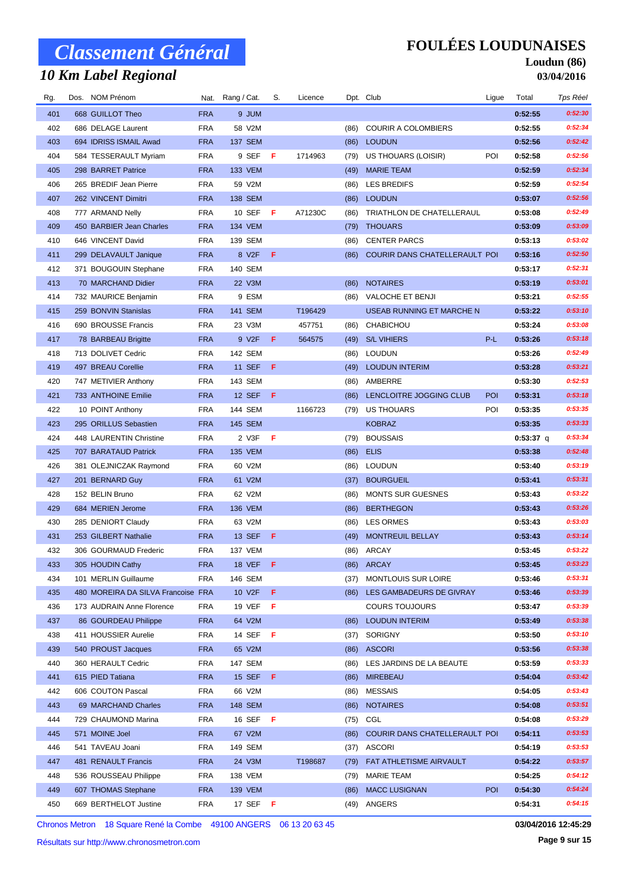## *10 Km Label Regional*

### **FOULÉES LOUDUNAISES**

#### **Loudun (86) 03/04/2016**

| Rg. | Dos. NOM Prénom                    |            | Nat. Rang / Cat. | S.  | Licence |      | Dpt. Club                     | Ligue | Total       | Tps Réel |
|-----|------------------------------------|------------|------------------|-----|---------|------|-------------------------------|-------|-------------|----------|
| 401 | 668 GUILLOT Theo                   | <b>FRA</b> | 9 JUM            |     |         |      |                               |       | 0:52:55     | 0:52:30  |
| 402 | 686 DELAGE Laurent                 | <b>FRA</b> | 58 V2M           |     |         | (86) | <b>COURIR A COLOMBIERS</b>    |       | 0:52:55     | 0:52:34  |
| 403 | 694 IDRISS ISMAIL Awad             | <b>FRA</b> | <b>137 SEM</b>   |     |         | (86) | <b>LOUDUN</b>                 |       | 0:52:56     | 0:52:42  |
| 404 | 584 TESSERAULT Myriam              | <b>FRA</b> | 9 SEF            | - F | 1714963 | (79) | US THOUARS (LOISIR)           | POI   | 0:52:58     | 0:52:56  |
| 405 | 298 BARRET Patrice                 | <b>FRA</b> | <b>133 VEM</b>   |     |         | (49) | <b>MARIE TEAM</b>             |       | 0:52:59     | 0:52:34  |
| 406 | 265 BREDIF Jean Pierre             | <b>FRA</b> | 59 V2M           |     |         | (86) | LES BREDIFS                   |       | 0:52:59     | 0:52:54  |
| 407 | 262 VINCENT Dimitri                | <b>FRA</b> | 138 SEM          |     |         | (86) | <b>LOUDUN</b>                 |       | 0:53:07     | 0:52:56  |
| 408 | 777 ARMAND Nelly                   | <b>FRA</b> | 10 SEF           | - F | A71230C | (86) | TRIATHLON DE CHATELLERAUL     |       | 0:53:08     | 0:52:49  |
| 409 | 450 BARBIER Jean Charles           | <b>FRA</b> | 134 VEM          |     |         | (79) | <b>THOUARS</b>                |       | 0:53:09     | 0:53:09  |
| 410 | 646 VINCENT David                  | <b>FRA</b> | 139 SEM          |     |         | (86) | <b>CENTER PARCS</b>           |       | 0:53:13     | 0:53:02  |
| 411 | 299 DELAVAULT Janique              | <b>FRA</b> | 8 V2F            | F   |         | (86) | COURIR DANS CHATELLERAULT POI |       | 0:53:16     | 0:52:50  |
| 412 | 371 BOUGOUIN Stephane              | <b>FRA</b> | 140 SEM          |     |         |      |                               |       | 0:53:17     | 0:52:31  |
| 413 | 70 MARCHAND Didier                 | <b>FRA</b> | 22 V3M           |     |         | (86) | <b>NOTAIRES</b>               |       | 0:53:19     | 0:53:01  |
| 414 | 732 MAURICE Benjamin               | <b>FRA</b> | 9 ESM            |     |         | (86) | VALOCHE ET BENJI              |       | 0:53:21     | 0:52:55  |
| 415 | 259 BONVIN Stanislas               | <b>FRA</b> | 141 SEM          |     | T196429 |      | USEAB RUNNING ET MARCHE N     |       | 0:53:22     | 0:53:10  |
| 416 | 690 BROUSSE Francis                | <b>FRA</b> | 23 V3M           |     | 457751  | (86) | CHABICHOU                     |       | 0:53:24     | 0:53:08  |
| 417 | 78 BARBEAU Brigitte                | <b>FRA</b> | 9 V2F            | F.  | 564575  | (49) | <b>S/L VIHIERS</b>            | P-L   | 0:53:26     | 0:53:18  |
| 418 | 713 DOLIVET Cedric                 | <b>FRA</b> | 142 SEM          |     |         | (86) | LOUDUN                        |       | 0:53:26     | 0:52:49  |
| 419 | 497 BREAU Corellie                 | <b>FRA</b> | <b>11 SEF</b>    | -F  |         | (49) | <b>LOUDUN INTERIM</b>         |       | 0:53:28     | 0:53:21  |
| 420 | 747 METIVIER Anthony               | <b>FRA</b> | 143 SEM          |     |         | (86) | AMBERRE                       |       | 0:53:30     | 0:52:53  |
| 421 | 733 ANTHOINE Emilie                | <b>FRA</b> | 12 SEF           | - F |         | (86) | LENCLOITRE JOGGING CLUB       | POI   | 0:53:31     | 0:53:18  |
| 422 | 10 POINT Anthony                   | <b>FRA</b> | 144 SEM          |     | 1166723 | (79) | US THOUARS                    | POI   | 0:53:35     | 0:53:35  |
| 423 | 295 ORILLUS Sebastien              | <b>FRA</b> | <b>145 SEM</b>   |     |         |      | <b>KOBRAZ</b>                 |       | 0:53:35     | 0:53:33  |
| 424 | 448 LAURENTIN Christine            | <b>FRA</b> | 2 V3F            | Æ   |         | (79) | <b>BOUSSAIS</b>               |       | $0:53:37$ q | 0:53:34  |
| 425 | 707 BARATAUD Patrick               | <b>FRA</b> | <b>135 VEM</b>   |     |         | (86) | <b>ELIS</b>                   |       | 0:53:38     | 0:52:48  |
| 426 | 381 OLEJNICZAK Raymond             | <b>FRA</b> | 60 V2M           |     |         | (86) | <b>LOUDUN</b>                 |       | 0:53:40     | 0:53:19  |
| 427 | 201 BERNARD Guy                    | <b>FRA</b> | 61 V2M           |     |         | (37) | <b>BOURGUEIL</b>              |       | 0:53:41     | 0:53:31  |
| 428 | 152 BELIN Bruno                    | <b>FRA</b> | 62 V2M           |     |         | (86) | <b>MONTS SUR GUESNES</b>      |       | 0:53:43     | 0:53:22  |
| 429 | 684 MERIEN Jerome                  | <b>FRA</b> | <b>136 VEM</b>   |     |         | (86) | <b>BERTHEGON</b>              |       | 0:53:43     | 0:53:26  |
| 430 | 285 DENIORT Claudy                 | <b>FRA</b> | 63 V2M           |     |         | (86) | <b>LES ORMES</b>              |       | 0:53:43     | 0:53:03  |
| 431 | 253 GILBERT Nathalie               | <b>FRA</b> | <b>13 SEF</b>    | - F |         | (49) | MONTREUIL BELLAY              |       | 0:53:43     | 0:53:14  |
| 432 | 306 GOURMAUD Frederic              | <b>FRA</b> | 137 VEM          |     |         |      | (86) ARCAY                    |       | 0:53:45     | 0:53:22  |
| 433 | 305 HOUDIN Cathy                   | <b>FRA</b> | 18 VEF           | F   |         |      | (86) ARCAY                    |       | 0:53:45     | 0:53:23  |
| 434 | 101 MERLIN Guillaume               | <b>FRA</b> | 146 SEM          |     |         | (37) | MONTLOUIS SUR LOIRE           |       | 0:53:46     | 0:53:31  |
| 435 | 480 MOREIRA DA SILVA Francoise FRA |            | 10 V2F           | F   |         | (86) | LES GAMBADEURS DE GIVRAY      |       | 0:53:46     | 0:53:39  |
| 436 | 173 AUDRAIN Anne Florence          | <b>FRA</b> | 19 VEF           | F   |         |      | <b>COURS TOUJOURS</b>         |       | 0:53:47     | 0:53:39  |
| 437 | 86 GOURDEAU Philippe               | <b>FRA</b> | 64 V2M           |     |         | (86) | <b>LOUDUN INTERIM</b>         |       | 0:53:49     | 0:53:38  |
| 438 | 411 HOUSSIER Aurelie               | <b>FRA</b> | 14 SEF           | Æ   |         | (37) | <b>SORIGNY</b>                |       | 0:53:50     | 0:53:10  |
| 439 | 540 PROUST Jacques                 | <b>FRA</b> | 65 V2M           |     |         | (86) | <b>ASCORI</b>                 |       | 0:53:56     | 0:53:38  |
| 440 | 360 HERAULT Cedric                 | <b>FRA</b> | 147 SEM          |     |         | (86) | LES JARDINS DE LA BEAUTE      |       | 0:53:59     | 0:53:33  |
| 441 | 615 PIED Tatiana                   | <b>FRA</b> | 15 SEF           | F   |         | (86) | <b>MIREBEAU</b>               |       | 0:54:04     | 0:53:42  |
| 442 | 606 COUTON Pascal                  | <b>FRA</b> | 66 V2M           |     |         | (86) | <b>MESSAIS</b>                |       | 0:54:05     | 0:53:43  |
| 443 | 69 MARCHAND Charles                | <b>FRA</b> | <b>148 SEM</b>   |     |         | (86) | <b>NOTAIRES</b>               |       | 0:54:08     | 0:53:51  |
| 444 | 729 CHAUMOND Marina                | <b>FRA</b> | 16 SEF           | - F |         | (75) | CGL                           |       | 0:54:08     | 0:53:29  |
| 445 | 571 MOINE Joel                     | <b>FRA</b> | 67 V2M           |     |         | (86) | COURIR DANS CHATELLERAULT POI |       | 0:54:11     | 0:53:53  |
| 446 | 541 TAVEAU Joani                   | <b>FRA</b> | 149 SEM          |     |         | (37) | ASCORI                        |       | 0:54:19     | 0:53:53  |
| 447 | 481 RENAULT Francis                | <b>FRA</b> | 24 V3M           |     | T198687 | (79) | FAT ATHLETISME AIRVAULT       |       | 0:54:22     | 0:53:57  |
| 448 | 536 ROUSSEAU Philippe              | <b>FRA</b> | 138 VEM          |     |         | (79) | MARIE TEAM                    |       | 0:54:25     | 0:54:12  |
| 449 | 607 THOMAS Stephane                | <b>FRA</b> | 139 VEM          |     |         | (86) | <b>MACC LUSIGNAN</b>          | POI   | 0:54:30     | 0:54:24  |
| 450 | 669 BERTHELOT Justine              | FRA        | 17 SEF $F$       |     |         |      | (49) ANGERS                   |       | 0:54:31     | 0:54:15  |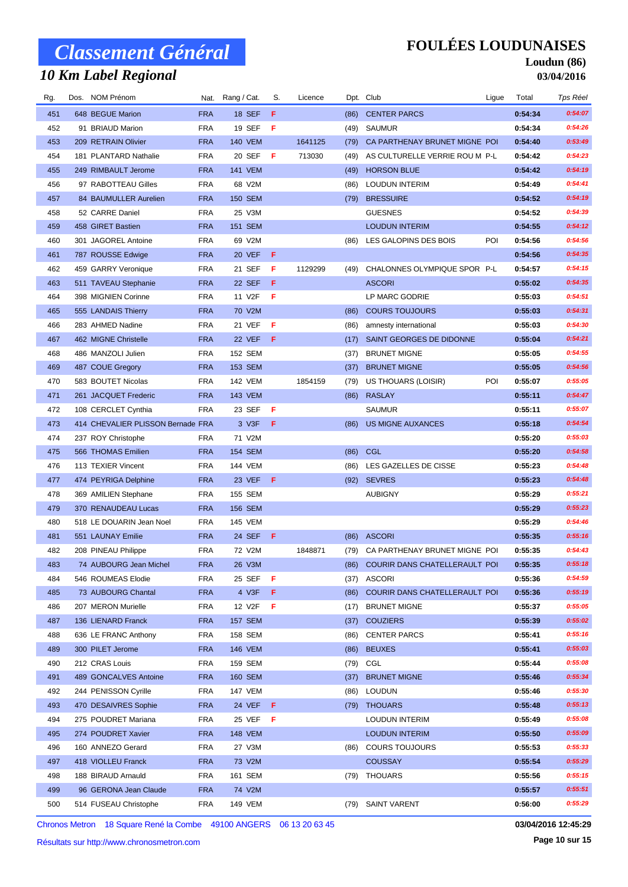## *10 Km Label Regional*

### **FOULÉES LOUDUNAISES**

#### **Loudun (86) 03/04/2016**

| Rg. | Dos. NOM Prénom                   |            | Nat. Rang / Cat. | S.  | Licence |      | Dpt. Club                          | Ligue | Total   | Tps Réel |
|-----|-----------------------------------|------------|------------------|-----|---------|------|------------------------------------|-------|---------|----------|
| 451 | 648 BEGUE Marion                  | <b>FRA</b> | <b>18 SEF</b>    | F   |         | (86) | <b>CENTER PARCS</b>                |       | 0:54:34 | 0:54:07  |
| 452 | 91 BRIAUD Marion                  | <b>FRA</b> | 19 SEF           | F   |         | (49) | <b>SAUMUR</b>                      |       | 0:54:34 | 0:54:26  |
| 453 | 209 RETRAIN Olivier               | <b>FRA</b> | <b>140 VEM</b>   |     | 1641125 | (79) | CA PARTHENAY BRUNET MIGNE POI      |       | 0:54:40 | 0:53:49  |
| 454 | 181 PLANTARD Nathalie             | <b>FRA</b> | 20 SEF           | F   | 713030  | (49) | AS CULTURELLE VERRIE ROU M P-L     |       | 0:54:42 | 0:54:23  |
| 455 | 249 RIMBAULT Jerome               | <b>FRA</b> | <b>141 VEM</b>   |     |         | (49) | <b>HORSON BLUE</b>                 |       | 0:54:42 | 0:54:19  |
| 456 | 97 RABOTTEAU Gilles               | <b>FRA</b> | 68 V2M           |     |         | (86) | <b>LOUDUN INTERIM</b>              |       | 0:54:49 | 0:54:41  |
| 457 | 84 BAUMULLER Aurelien             | <b>FRA</b> | <b>150 SEM</b>   |     |         | (79) | <b>BRESSUIRE</b>                   |       | 0:54:52 | 0:54:19  |
| 458 | 52 CARRE Daniel                   | <b>FRA</b> | 25 V3M           |     |         |      | <b>GUESNES</b>                     |       | 0:54:52 | 0:54:39  |
| 459 | 458 GIRET Bastien                 | <b>FRA</b> | <b>151 SEM</b>   |     |         |      | <b>LOUDUN INTERIM</b>              |       | 0:54:55 | 0:54:12  |
| 460 | 301 JAGOREL Antoine               | <b>FRA</b> | 69 V2M           |     |         | (86) | LES GALOPINS DES BOIS              | POI   | 0:54:56 | 0:54:56  |
| 461 | 787 ROUSSE Edwige                 | <b>FRA</b> | 20 VEF           | -F  |         |      |                                    |       | 0:54:56 | 0:54:35  |
| 462 | 459 GARRY Veronique               | <b>FRA</b> | 21 SEF           | F   | 1129299 | (49) | CHALONNES OLYMPIQUE SPOR P-L       |       | 0:54:57 | 0:54:15  |
| 463 | 511 TAVEAU Stephanie              | <b>FRA</b> | 22 SEF           | F   |         |      | <b>ASCORI</b>                      |       | 0:55:02 | 0:54:35  |
| 464 | 398 MIGNIEN Corinne               | <b>FRA</b> | 11 V2F           | Æ   |         |      | LP MARC GODRIE                     |       | 0:55:03 | 0:54:51  |
| 465 | 555 LANDAIS Thierry               | <b>FRA</b> | 70 V2M           |     |         | (86) | <b>COURS TOUJOURS</b>              |       | 0:55:03 | 0:54:31  |
| 466 | 283 AHMED Nadine                  | <b>FRA</b> | 21 VEF           | Æ   |         | (86) | amnesty international              |       | 0:55:03 | 0:54:30  |
| 467 | 462 MIGNE Christelle              | <b>FRA</b> | 22 VEF           | -F  |         | (17) | SAINT GEORGES DE DIDONNE           |       | 0:55:04 | 0:54:21  |
| 468 | 486 MANZOLI Julien                | <b>FRA</b> | 152 SEM          |     |         | (37) | <b>BRUNET MIGNE</b>                |       | 0:55:05 | 0:54:55  |
| 469 | 487 COUE Gregory                  | <b>FRA</b> | 153 SEM          |     |         | (37) | <b>BRUNET MIGNE</b>                |       | 0:55:05 | 0:54:56  |
| 470 | 583 BOUTET Nicolas                | <b>FRA</b> | <b>142 VEM</b>   |     | 1854159 | (79) | US THOUARS (LOISIR)                | POI   | 0:55:07 | 0:55:05  |
| 471 | 261 JACQUET Frederic              | <b>FRA</b> | <b>143 VEM</b>   |     |         | (86) | <b>RASLAY</b>                      |       | 0:55:11 | 0:54:47  |
| 472 | 108 CERCLET Cynthia               | <b>FRA</b> | 23 SEF           | F   |         |      | <b>SAUMUR</b>                      |       | 0:55:11 | 0:55:07  |
| 473 | 414 CHEVALIER PLISSON Bernade FRA |            | 3 V3F            | Æ   |         | (86) | <b>US MIGNE AUXANCES</b>           |       | 0:55:18 | 0:54:54  |
| 474 | 237 ROY Christophe                | <b>FRA</b> | 71 V2M           |     |         |      |                                    |       | 0:55:20 | 0:55:03  |
| 475 | 566 THOMAS Emilien                | <b>FRA</b> | 154 SEM          |     |         | (86) | CGL                                |       | 0:55:20 | 0:54:58  |
| 476 | 113 TEXIER Vincent                | <b>FRA</b> | 144 VEM          |     |         | (86) | LES GAZELLES DE CISSE              |       | 0:55:23 | 0:54:48  |
| 477 | 474 PEYRIGA Delphine              | <b>FRA</b> | 23 VEF           | - F |         | (92) | <b>SEVRES</b>                      |       | 0:55:23 | 0:54:48  |
| 478 | 369 AMILIEN Stephane              | <b>FRA</b> | 155 SEM          |     |         |      | <b>AUBIGNY</b>                     |       | 0:55:29 | 0:55:21  |
| 479 | 370 RENAUDEAU Lucas               | <b>FRA</b> | <b>156 SEM</b>   |     |         |      |                                    |       | 0:55:29 | 0:55:23  |
| 480 | 518 LE DOUARIN Jean Noel          | <b>FRA</b> | <b>145 VEM</b>   |     |         |      |                                    |       | 0:55:29 | 0:54:46  |
| 481 | 551 LAUNAY Emilie                 | <b>FRA</b> | 24 SEF           | - F |         | (86) | <b>ASCORI</b>                      |       | 0:55:35 | 0:55:16  |
| 482 | 208 PINEAU Philippe               | <b>FRA</b> | 72 V2M           |     | 1848871 | (79) | CA PARTHENAY BRUNET MIGNE POI      |       | 0:55:35 | 0:54:43  |
| 483 | 74 AUBOURG Jean Michel            | <b>FRA</b> | 26 V3M           |     |         |      | (86) COURIR DANS CHATELLERAULT POI |       | 0:55:35 | 0:55:18  |
| 484 | 546 ROUMEAS Elodie                | <b>FRA</b> | 25 SEF           | - F |         |      | (37) ASCORI                        |       | 0:55:36 | 0:54:59  |
| 485 | 73 AUBOURG Chantal                | <b>FRA</b> | 4 V3F            | F   |         | (86) | COURIR DANS CHATELLERAULT POI      |       | 0:55:36 | 0:55:19  |
| 486 | 207 MERON Murielle                | <b>FRA</b> | 12 V2F           | -F  |         | (17) | <b>BRUNET MIGNE</b>                |       | 0:55:37 | 0:55:05  |
| 487 | 136 LIENARD Franck                | <b>FRA</b> | <b>157 SEM</b>   |     |         | (37) | <b>COUZIERS</b>                    |       | 0:55:39 | 0:55:02  |
| 488 | 636 LE FRANC Anthony              | <b>FRA</b> | 158 SEM          |     |         | (86) | <b>CENTER PARCS</b>                |       | 0:55:41 | 0:55:16  |
| 489 | 300 PILET Jerome                  | <b>FRA</b> | <b>146 VEM</b>   |     |         | (86) | <b>BEUXES</b>                      |       | 0:55:41 | 0:55:03  |
| 490 | 212 CRAS Louis                    | <b>FRA</b> | 159 SEM          |     |         | (79) | CGL                                |       | 0:55:44 | 0:55:08  |
| 491 | 489 GONCALVES Antoine             | <b>FRA</b> | <b>160 SEM</b>   |     |         | (37) | <b>BRUNET MIGNE</b>                |       | 0:55:46 | 0:55:34  |
| 492 | 244 PENISSON Cyrille              | <b>FRA</b> | 147 VEM          |     |         | (86) | LOUDUN                             |       | 0:55:46 | 0:55:30  |
| 493 | 470 DESAIVRES Sophie              | <b>FRA</b> | 24 VEF           | - F |         |      | (79) THOUARS                       |       | 0:55:48 | 0:55:13  |
| 494 | 275 POUDRET Mariana               | <b>FRA</b> | 25 VEF           | -F  |         |      | <b>LOUDUN INTERIM</b>              |       | 0:55:49 | 0:55:08  |
| 495 | 274 POUDRET Xavier                | <b>FRA</b> | <b>148 VEM</b>   |     |         |      | <b>LOUDUN INTERIM</b>              |       | 0:55:50 | 0:55:09  |
| 496 | 160 ANNEZO Gerard                 | <b>FRA</b> | 27 V3M           |     |         | (86) | <b>COURS TOUJOURS</b>              |       | 0:55:53 | 0:55:33  |
| 497 | 418 VIOLLEU Franck                | <b>FRA</b> | 73 V2M           |     |         |      | <b>COUSSAY</b>                     |       | 0:55:54 | 0:55:29  |
| 498 | 188 BIRAUD Arnauld                | <b>FRA</b> | 161 SEM          |     |         | (79) | THOUARS                            |       | 0:55:56 | 0:55:15  |
| 499 | 96 GERONA Jean Claude             | <b>FRA</b> | 74 V2M           |     |         |      |                                    |       | 0:55:57 | 0:55:51  |
| 500 | 514 FUSEAU Christophe             | <b>FRA</b> | 149 VEM          |     |         | (79) | <b>SAINT VARENT</b>                |       | 0:56:00 | 0:55:29  |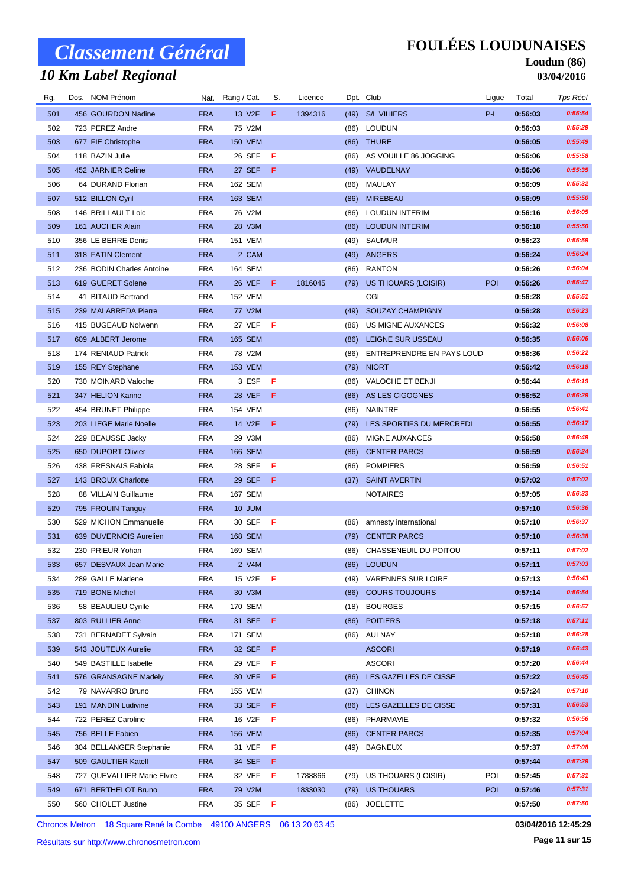## *10 Km Label Regional*

### **FOULÉES LOUDUNAISES**

#### **Loudun (86) 03/04/2016**

| Rg. | Dos. NOM Prénom             |            | Nat. Rang / Cat. | S.  | Licence |      | Dpt. Club                 | Ligue      | Total   | Tps Réel |
|-----|-----------------------------|------------|------------------|-----|---------|------|---------------------------|------------|---------|----------|
| 501 | 456 GOURDON Nadine          | <b>FRA</b> | 13 V2F           | F   | 1394316 | (49) | <b>S/L VIHIERS</b>        | P-L        | 0:56:03 | 0:55:54  |
| 502 | 723 PEREZ Andre             | <b>FRA</b> | 75 V2M           |     |         | (86) | LOUDUN                    |            | 0:56:03 | 0:55:29  |
| 503 | 677 FIE Christophe          | <b>FRA</b> | <b>150 VEM</b>   |     |         | (86) | <b>THURE</b>              |            | 0:56:05 | 0:55:49  |
| 504 | 118 BAZIN Julie             | <b>FRA</b> | 26 SEF           | - F |         | (86) | AS VOUILLE 86 JOGGING     |            | 0:56:06 | 0:55:58  |
| 505 | 452 JARNIER Celine          | <b>FRA</b> | 27 SEF           | -F  |         | (49) | VAUDELNAY                 |            | 0:56:06 | 0:55:35  |
| 506 | 64 DURAND Florian           | <b>FRA</b> | 162 SEM          |     |         | (86) | MAULAY                    |            | 0:56:09 | 0:55:32  |
| 507 | 512 BILLON Cyril            | <b>FRA</b> | 163 SEM          |     |         | (86) | <b>MIREBEAU</b>           |            | 0:56:09 | 0:55:50  |
| 508 | 146 BRILLAULT Loic          | <b>FRA</b> | 76 V2M           |     |         | (86) | <b>LOUDUN INTERIM</b>     |            | 0:56:16 | 0:56:05  |
| 509 | 161 AUCHER Alain            | <b>FRA</b> | 28 V3M           |     |         | (86) | <b>LOUDUN INTERIM</b>     |            | 0:56:18 | 0:55:50  |
| 510 | 356 LE BERRE Denis          | <b>FRA</b> | 151 VEM          |     |         | (49) | SAUMUR                    |            | 0:56:23 | 0:55:59  |
| 511 | 318 FATIN Clement           | <b>FRA</b> | 2 CAM            |     |         | (49) | ANGERS                    |            | 0:56:24 | 0:56:24  |
| 512 | 236 BODIN Charles Antoine   | <b>FRA</b> | 164 SEM          |     |         | (86) | <b>RANTON</b>             |            | 0:56:26 | 0:56:04  |
| 513 | 619 GUERET Solene           | <b>FRA</b> | 26 VEF           | F.  | 1816045 | (79) | US THOUARS (LOISIR)       | POI        | 0:56:26 | 0:55:47  |
| 514 | 41 BITAUD Bertrand          | <b>FRA</b> | <b>152 VEM</b>   |     |         |      | CGL                       |            | 0:56:28 | 0:55:51  |
| 515 | 239 MALABREDA Pierre        | <b>FRA</b> | 77 V2M           |     |         | (49) | SOUZAY CHAMPIGNY          |            | 0:56:28 | 0:56:23  |
| 516 | 415 BUGEAUD Nolwenn         | <b>FRA</b> | 27 VEF           | - F |         | (86) | US MIGNE AUXANCES         |            | 0:56:32 | 0:56:08  |
| 517 | 609 ALBERT Jerome           | <b>FRA</b> | 165 SEM          |     |         | (86) | LEIGNE SUR USSEAU         |            | 0:56:35 | 0:56:06  |
| 518 | 174 RENIAUD Patrick         | <b>FRA</b> | 78 V2M           |     |         | (86) | ENTREPRENDRE EN PAYS LOUD |            | 0:56:36 | 0:56:22  |
| 519 | 155 REY Stephane            | <b>FRA</b> | <b>153 VEM</b>   |     |         | (79) | <b>NIORT</b>              |            | 0:56:42 | 0:56:18  |
| 520 | 730 MOINARD Valoche         | <b>FRA</b> | 3 ESF            | -F  |         | (86) | VALOCHE ET BENJI          |            | 0:56:44 | 0:56:19  |
| 521 | 347 HELION Karine           | <b>FRA</b> | 28 VEF           | - F |         | (86) | AS LES CIGOGNES           |            | 0:56:52 | 0:56:29  |
| 522 | 454 BRUNET Philippe         | <b>FRA</b> | 154 VEM          |     |         | (86) | NAINTRE                   |            | 0:56:55 | 0:56:41  |
| 523 | 203 LIEGE Marie Noelle      | <b>FRA</b> | 14 V2F           | F   |         | (79) | LES SPORTIFS DU MERCREDI  |            | 0:56:55 | 0:56:17  |
| 524 | 229 BEAUSSE Jacky           | <b>FRA</b> | 29 V3M           |     |         | (86) | MIGNE AUXANCES            |            | 0:56:58 | 0:56:49  |
| 525 | 650 DUPORT Olivier          | <b>FRA</b> | <b>166 SEM</b>   |     |         | (86) | <b>CENTER PARCS</b>       |            | 0:56:59 | 0:56:24  |
| 526 | 438 FRESNAIS Fabiola        | <b>FRA</b> | 28 SEF           | F   |         | (86) | <b>POMPIERS</b>           |            | 0:56:59 | 0:56:51  |
| 527 | 143 BROUX Charlotte         | <b>FRA</b> | 29 SEF           | - F |         | (37) | <b>SAINT AVERTIN</b>      |            | 0:57:02 | 0:57:02  |
| 528 | 88 VILLAIN Guillaume        | <b>FRA</b> | 167 SEM          |     |         |      | <b>NOTAIRES</b>           |            | 0:57:05 | 0:56:33  |
| 529 | 795 FROUIN Tanguy           | <b>FRA</b> | 10 JUM           |     |         |      |                           |            | 0:57:10 | 0:56:36  |
| 530 | 529 MICHON Emmanuelle       | <b>FRA</b> | 30 SEF           | - F |         | (86) | amnesty international     |            | 0:57:10 | 0:56:37  |
| 531 | 639 DUVERNOIS Aurelien      | <b>FRA</b> | 168 SEM          |     |         | (79) | <b>CENTER PARCS</b>       |            | 0:57:10 | 0:56:38  |
| 532 | 230 PRIEUR Yohan            | <b>FRA</b> | 169 SEM          |     |         | (86) | CHASSENEUIL DU POITOU     |            | 0:57:11 | 0:57:02  |
| 533 | 657 DESVAUX Jean Marie      | <b>FRA</b> | 2 V4M            |     |         |      | (86) LOUDUN               |            | 0:57:11 | 0:57:03  |
| 534 | 289 GALLE Marlene           | <b>FRA</b> | 15 V2F           | F   |         | (49) | <b>VARENNES SUR LOIRE</b> |            | 0:57:13 | 0:56:43  |
| 535 | 719 BONE Michel             | <b>FRA</b> | 30 V3M           |     |         | (86) | <b>COURS TOUJOURS</b>     |            | 0:57:14 | 0:56:54  |
| 536 | 58 BEAULIEU Cyrille         | <b>FRA</b> | 170 SEM          |     |         | (18) | <b>BOURGES</b>            |            | 0:57:15 | 0:56:57  |
| 537 | 803 RULLIER Anne            | <b>FRA</b> | 31 SEF           | F   |         | (86) | <b>POITIERS</b>           |            | 0:57:18 | 0:57:11  |
| 538 | 731 BERNADET Sylvain        | <b>FRA</b> | 171 SEM          |     |         |      | (86) AULNAY               |            | 0:57:18 | 0:56:28  |
| 539 | 543 JOUTEUX Aurelie         | <b>FRA</b> | 32 SEF           | F.  |         |      | <b>ASCORI</b>             |            | 0:57:19 | 0:56:43  |
| 540 | 549 BASTILLE Isabelle       | <b>FRA</b> | 29 VEF           | - F |         |      | <b>ASCORI</b>             |            | 0:57:20 | 0:56:44  |
| 541 | 576 GRANSAGNE Madely        | <b>FRA</b> | 30 VEF           | F   |         | (86) | LES GAZELLES DE CISSE     |            | 0:57:22 | 0:56:45  |
| 542 | 79 NAVARRO Bruno            | <b>FRA</b> | 155 VEM          |     |         | (37) | <b>CHINON</b>             |            | 0:57:24 | 0:57:10  |
| 543 | 191 MANDIN Ludivine         | <b>FRA</b> | 33 SEF           | F   |         | (86) | LES GAZELLES DE CISSE     |            | 0:57:31 | 0:56:53  |
| 544 | 722 PEREZ Caroline          | <b>FRA</b> | 16 V2F           | F   |         | (86) | PHARMAVIE                 |            | 0:57:32 | 0:56:56  |
| 545 | 756 BELLE Fabien            | <b>FRA</b> | <b>156 VEM</b>   |     |         | (86) | <b>CENTER PARCS</b>       |            | 0:57:35 | 0:57:04  |
| 546 | 304 BELLANGER Stephanie     | <b>FRA</b> | 31 VEF           | F   |         | (49) | <b>BAGNEUX</b>            |            | 0:57:37 | 0:57:08  |
| 547 | 509 GAULTIER Katell         | <b>FRA</b> | 34 SEF           | F.  |         |      |                           |            | 0:57:44 | 0:57:29  |
| 548 | 727 QUEVALLIER Marie Elvire | <b>FRA</b> | 32 VEF           | - F | 1788866 | (79) | US THOUARS (LOISIR)       | POI        | 0:57:45 | 0:57:31  |
| 549 | 671 BERTHELOT Bruno         | <b>FRA</b> | 79 V2M           |     | 1833030 | (79) | US THOUARS                | <b>POI</b> | 0:57:46 | 0:57:31  |
| 550 | 560 CHOLET Justine          | <b>FRA</b> | 35 SEF           | - F |         | (86) | <b>JOELETTE</b>           |            | 0:57:50 | 0:57:50  |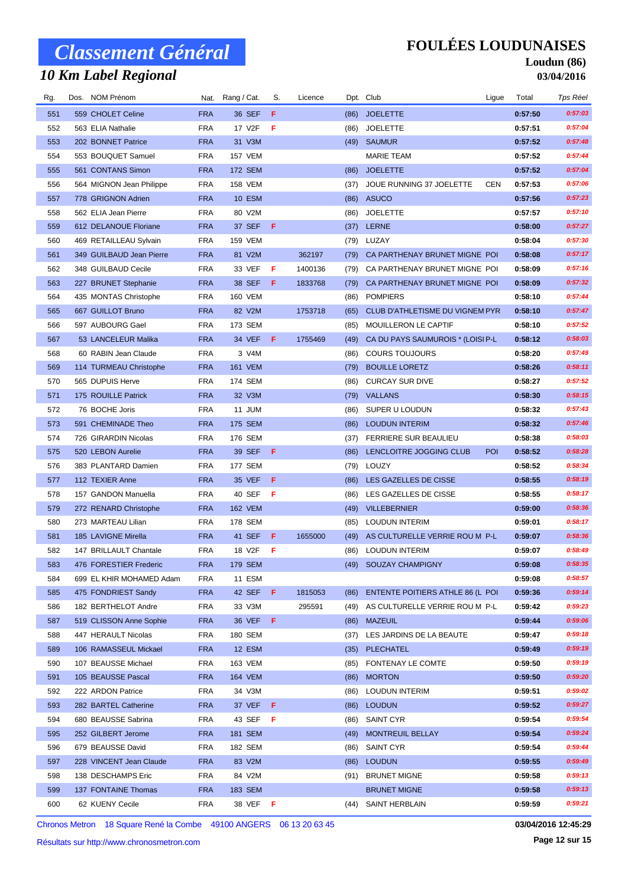## *10 Km Label Regional*

### **FOULÉES LOUDUNAISES**

#### **Loudun (86) 03/04/2016**

| Rg. | Dos. NOM Prénom          |            | Nat. Rang / Cat. | S.  | Licence |      | Dpt. Club                               | Ligue      | Total   | Tps Réel |
|-----|--------------------------|------------|------------------|-----|---------|------|-----------------------------------------|------------|---------|----------|
| 551 | 559 CHOLET Celine        | <b>FRA</b> | 36 SEF           | F   |         | (86) | <b>JOELETTE</b>                         |            | 0:57:50 | 0:57:03  |
| 552 | 563 ELIA Nathalie        | <b>FRA</b> | 17 V2F           | F   |         | (86) | <b>JOELETTE</b>                         |            | 0:57:51 | 0:57:04  |
| 553 | 202 BONNET Patrice       | <b>FRA</b> | 31 V3M           |     |         |      | (49) SAUMUR                             |            | 0:57:52 | 0:57:48  |
| 554 | 553 BOUQUET Samuel       | <b>FRA</b> | <b>157 VEM</b>   |     |         |      | <b>MARIE TEAM</b>                       |            | 0:57:52 | 0:57:44  |
| 555 | 561 CONTANS Simon        | <b>FRA</b> | 172 SEM          |     |         | (86) | <b>JOELETTE</b>                         |            | 0:57:52 | 0:57:04  |
| 556 | 564 MIGNON Jean Philippe | <b>FRA</b> | <b>158 VEM</b>   |     |         | (37) | JOUE RUNNING 37 JOELETTE                | <b>CEN</b> | 0:57:53 | 0:57:06  |
| 557 | 778 GRIGNON Adrien       | <b>FRA</b> | <b>10 ESM</b>    |     |         | (86) | ASUCO                                   |            | 0:57:56 | 0:57:23  |
| 558 | 562 ELIA Jean Pierre     | <b>FRA</b> | 80 V2M           |     |         | (86) | <b>JOELETTE</b>                         |            | 0:57:57 | 0:57:10  |
| 559 | 612 DELANOUE Floriane    | <b>FRA</b> | 37 SEF           | - F |         |      | (37) LERNE                              |            | 0:58:00 | 0:57:27  |
| 560 | 469 RETAILLEAU Sylvain   | <b>FRA</b> | <b>159 VEM</b>   |     |         | (79) | LUZAY                                   |            | 0:58:04 | 0:57:30  |
| 561 | 349 GUILBAUD Jean Pierre | <b>FRA</b> | 81 V2M           |     | 362197  | (79) | CA PARTHENAY BRUNET MIGNE POI           |            | 0:58:08 | 0:57:17  |
| 562 | 348 GUILBAUD Cecile      | <b>FRA</b> | 33 VEF           | F   | 1400136 | (79) | CA PARTHENAY BRUNET MIGNE POI           |            | 0:58:09 | 0:57:16  |
| 563 | 227 BRUNET Stephanie     | <b>FRA</b> | 38 SEF           | - F | 1833768 | (79) | CA PARTHENAY BRUNET MIGNE POI           |            | 0:58:09 | 0:57:32  |
| 564 | 435 MONTAS Christophe    | <b>FRA</b> | <b>160 VEM</b>   |     |         | (86) | <b>POMPIERS</b>                         |            | 0:58:10 | 0:57:44  |
| 565 | 667 GUILLOT Bruno        | <b>FRA</b> | 82 V2M           |     | 1753718 | (65) | <b>CLUB D'ATHLETISME DU VIGNEM PYR</b>  |            | 0:58:10 | 0:57:47  |
| 566 | 597 AUBOURG Gael         | <b>FRA</b> | 173 SEM          |     |         | (85) | MOUILLERON LE CAPTIF                    |            | 0:58:10 | 0:57:52  |
| 567 | 53 LANCELEUR Malika      | <b>FRA</b> | 34 VEF           | - F | 1755469 | (49) | CA DU PAYS SAUMUROIS * (LOISI P-L       |            | 0:58:12 | 0:58:03  |
| 568 | 60 RABIN Jean Claude     | <b>FRA</b> | 3 V4M            |     |         | (86) | <b>COURS TOUJOURS</b>                   |            | 0:58:20 | 0:57:49  |
| 569 | 114 TURMEAU Christophe   | <b>FRA</b> | <b>161 VEM</b>   |     |         | (79) | <b>BOUILLE LORETZ</b>                   |            | 0:58:26 | 0:58:11  |
| 570 | 565 DUPUIS Herve         | <b>FRA</b> | 174 SEM          |     |         | (86) | <b>CURCAY SUR DIVE</b>                  |            | 0:58:27 | 0:57:52  |
| 571 | 175 ROUILLE Patrick      | <b>FRA</b> | 32 V3M           |     |         | (79) | VALLANS                                 |            | 0:58:30 | 0:58:15  |
| 572 | 76 BOCHE Joris           | <b>FRA</b> | 11 JUM           |     |         | (86) | SUPER U LOUDUN                          |            | 0:58:32 | 0:57:43  |
| 573 | 591 CHEMINADE Theo       | <b>FRA</b> | <b>175 SEM</b>   |     |         | (86) | <b>LOUDUN INTERIM</b>                   |            | 0:58:32 | 0:57:46  |
| 574 | 726 GIRARDIN Nicolas     | <b>FRA</b> | 176 SEM          |     |         | (37) | <b>FERRIERE SUR BEAULIEU</b>            |            | 0:58:38 | 0:58:03  |
| 575 | 520 LEBON Aurelie        | <b>FRA</b> | 39 SEF           | -F  |         | (86) | LENCLOITRE JOGGING CLUB                 | <b>POI</b> | 0:58:52 | 0:58:28  |
| 576 | 383 PLANTARD Damien      | <b>FRA</b> | 177 SEM          |     |         |      | (79) LOUZY                              |            | 0:58:52 | 0:58:34  |
| 577 | 112 TEXIER Anne          | <b>FRA</b> | 35 VEF           | F   |         | (86) | LES GAZELLES DE CISSE                   |            | 0:58:55 | 0:58:19  |
| 578 | 157 GANDON Manuella      | <b>FRA</b> | 40 SEF           | F   |         | (86) | LES GAZELLES DE CISSE                   |            | 0:58:55 | 0:58:17  |
| 579 | 272 RENARD Christophe    | <b>FRA</b> | <b>162 VEM</b>   |     |         |      | (49) VILLEBERNIER                       |            | 0:59:00 | 0:58:36  |
| 580 | 273 MARTEAU Lilian       | <b>FRA</b> | 178 SEM          |     |         | (85) | LOUDUN INTERIM                          |            | 0:59:01 | 0:58:17  |
| 581 | 185 LAVIGNE Mirella      | <b>FRA</b> | 41 SEF           | F   | 1655000 | (49) | AS CULTURELLE VERRIE ROU M P-L          |            | 0:59:07 | 0:58:36  |
| 582 | 147 BRILLAULT Chantale   | <b>FRA</b> | 18 V2F           | -F  |         | (86) | <b>LOUDUN INTERIM</b>                   |            | 0:59:07 | 0:58:49  |
| 583 | 476 FORESTIER Frederic   | <b>FRA</b> | 179 SEM          |     |         |      | (49) SOUZAY CHAMPIGNY                   |            | 0:59:08 | 0:58:35  |
| 584 | 699 EL KHIR MOHAMED Adam | FRA        | 11 ESM           |     |         |      |                                         |            | 0:59:08 | 0:58:57  |
| 585 | 475 FONDRIEST Sandy      | <b>FRA</b> | 42 SEF F         |     | 1815053 | (86) | <b>ENTENTE POITIERS ATHLE 86 (L POI</b> |            | 0:59:36 | 0:59:14  |
| 586 | 182 BERTHELOT Andre      | <b>FRA</b> | 33 V3M           |     | 295591  | (49) | AS CULTURELLE VERRIE ROU M P-L          |            | 0:59:42 | 0:59:23  |
| 587 | 519 CLISSON Anne Sophie  | <b>FRA</b> | 36 VEF           | -F  |         | (86) | <b>MAZEUIL</b>                          |            | 0:59:44 | 0:59:06  |
| 588 | 447 HERAULT Nicolas      | FRA        | 180 SEM          |     |         |      | (37) LES JARDINS DE LA BEAUTE           |            | 0:59:47 | 0:59:18  |
| 589 | 106 RAMASSEUL Mickael    | <b>FRA</b> | 12 ESM           |     |         | (35) | <b>PLECHATEL</b>                        |            | 0:59:49 | 0:59:19  |
| 590 | 107 BEAUSSE Michael      | FRA        | 163 VEM          |     |         | (85) | FONTENAY LE COMTE                       |            | 0:59:50 | 0:59:19  |
| 591 | 105 BEAUSSE Pascal       | <b>FRA</b> | 164 VEM          |     |         | (86) | <b>MORTON</b>                           |            | 0:59:50 | 0:59:20  |
| 592 | 222 ARDON Patrice        | <b>FRA</b> | 34 V3M           |     |         |      | (86) LOUDUN INTERIM                     |            | 0:59:51 | 0:59:02  |
| 593 | 282 BARTEL Catherine     | <b>FRA</b> | 37 VEF           | - F |         |      | (86) LOUDUN                             |            | 0:59:52 | 0:59:27  |
| 594 | 680 BEAUSSE Sabrina      | <b>FRA</b> | 43 SEF           | - F |         | (86) | SAINT CYR                               |            | 0:59:54 | 0:59:54  |
| 595 | 252 GILBERT Jerome       | <b>FRA</b> | 181 SEM          |     |         | (49) | <b>MONTREUIL BELLAY</b>                 |            | 0:59:54 | 0:59:24  |
| 596 | 679 BEAUSSE David        | <b>FRA</b> | 182 SEM          |     |         | (86) | SAINT CYR                               |            | 0:59:54 | 0:59:44  |
| 597 | 228 VINCENT Jean Claude  | <b>FRA</b> | 83 V2M           |     |         |      | (86) LOUDUN                             |            | 0:59:55 | 0:59:49  |
| 598 | 138 DESCHAMPS Eric       | <b>FRA</b> | 84 V2M           |     |         |      | (91) BRUNET MIGNE                       |            | 0:59:58 | 0:59:13  |
| 599 | 137 FONTAINE Thomas      | <b>FRA</b> | 183 SEM          |     |         |      | <b>BRUNET MIGNE</b>                     |            | 0:59:58 | 0:59:13  |
| 600 | 62 KUENY Cecile          | <b>FRA</b> | 38 VEF <b>F</b>  |     |         |      | (44) SAINT HERBLAIN                     |            | 0:59:59 | 0:59:21  |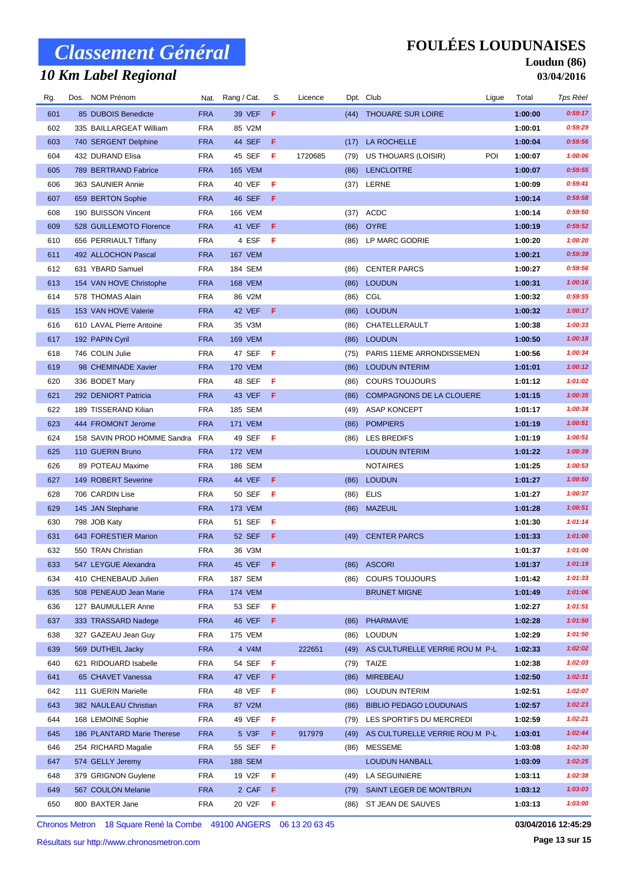## *10 Km Label Regional*

### **FOULÉES LOUDUNAISES**

#### **Loudun (86) 03/04/2016**

| Rg. | Dos. NOM Prénom             |            | Nat. Rang / Cat. | S.  | Licence |      | Dpt. Club                       | Ligue | Total   | Tps Réel |
|-----|-----------------------------|------------|------------------|-----|---------|------|---------------------------------|-------|---------|----------|
| 601 | 85 DUBOIS Benedicte         | <b>FRA</b> | 39 VEF           | F   |         | (44) | <b>THOUARE SUR LOIRE</b>        |       | 1:00:00 | 0:59:17  |
| 602 | 335 BAILLARGEAT William     | <b>FRA</b> | 85 V2M           |     |         |      |                                 |       | 1:00:01 | 0:59:29  |
| 603 | 740 SERGENT Delphine        | <b>FRA</b> | 44 SEF           | -F  |         | (17) | LA ROCHELLE                     |       | 1:00:04 | 0:59:56  |
| 604 | 432 DURAND Elisa            | <b>FRA</b> | 45 SEF           | -F  | 1720685 | (79) | <b>US THOUARS (LOISIR)</b>      | POI   | 1:00:07 | 1:00:06  |
| 605 | 789 BERTRAND Fabrice        | <b>FRA</b> | <b>165 VEM</b>   |     |         | (86) | <b>LENCLOITRE</b>               |       | 1:00:07 | 0:59:55  |
| 606 | 363 SAUNIER Annie           | <b>FRA</b> | 40 VEF           | -F  |         |      | (37) LERNE                      |       | 1:00:09 | 0:59:41  |
| 607 | 659 BERTON Sophie           | <b>FRA</b> | 46 SEF           | -F  |         |      |                                 |       | 1:00:14 | 0:59:58  |
| 608 | 190 BUISSON Vincent         | <b>FRA</b> | 166 VEM          |     |         |      | $(37)$ ACDC                     |       | 1:00:14 | 0:59:50  |
| 609 | 528 GUILLEMOTO Florence     | <b>FRA</b> | 41 VEF           | -F  |         |      | (86) OYRE                       |       | 1:00:19 | 0:59:52  |
| 610 | 656 PERRIAULT Tiffany       | <b>FRA</b> | 4 ESF            | -F  |         | (86) | LP MARC GODRIE                  |       | 1:00:20 | 1:00:20  |
| 611 | 492 ALLOCHON Pascal         | <b>FRA</b> | <b>167 VEM</b>   |     |         |      |                                 |       | 1:00:21 | 0:59:39  |
| 612 | 631 YBARD Samuel            | <b>FRA</b> | 184 SEM          |     |         | (86) | <b>CENTER PARCS</b>             |       | 1:00:27 | 0:59:56  |
| 613 | 154 VAN HOVE Christophe     | <b>FRA</b> | <b>168 VEM</b>   |     |         | (86) | <b>LOUDUN</b>                   |       | 1:00:31 | 1:00:16  |
| 614 | 578 THOMAS Alain            | <b>FRA</b> | 86 V2M           |     |         | (86) | CGL                             |       | 1:00:32 | 0:59:55  |
| 615 | 153 VAN HOVE Valerie        | <b>FRA</b> | 42 VEF           | - F |         | (86) | <b>LOUDUN</b>                   |       | 1:00:32 | 1:00:17  |
| 616 | 610 LAVAL Pierre Antoine    | <b>FRA</b> | 35 V3M           |     |         | (86) | CHATELLERAULT                   |       | 1:00:38 | 1:00:33  |
| 617 | 192 PAPIN Cyril             | <b>FRA</b> | <b>169 VEM</b>   |     |         | (86) | <b>LOUDUN</b>                   |       | 1:00:50 | 1:00:18  |
| 618 | 746 COLIN Julie             | <b>FRA</b> | 47 SEF           | - F |         | (75) | PARIS 11EME ARRONDISSEMEN       |       | 1:00:56 | 1:00:34  |
| 619 | 98 CHEMINADE Xavier         | <b>FRA</b> | <b>170 VEM</b>   |     |         | (86) | <b>LOUDUN INTERIM</b>           |       | 1:01:01 | 1:00:12  |
| 620 | 336 BODET Mary              | <b>FRA</b> | 48 SEF           | -F  |         | (86) | <b>COURS TOUJOURS</b>           |       | 1:01:12 | 1:01:02  |
| 621 | 292 DENIORT Patricia        | <b>FRA</b> | 43 VEF           | -F  |         | (86) | <b>COMPAGNONS DE LA CLOUERE</b> |       | 1:01:15 | 1:00:35  |
| 622 | 189 TISSERAND Kilian        | <b>FRA</b> | 185 SEM          |     |         | (49) | <b>ASAP KONCEPT</b>             |       | 1:01:17 | 1:00:38  |
| 623 | 444 FROMONT Jerome          | <b>FRA</b> | <b>171 VEM</b>   |     |         | (86) | <b>POMPIERS</b>                 |       | 1:01:19 | 1:00:51  |
| 624 | 158 SAVIN PROD HOMME Sandra | FRA        | 49 SEF           | - F |         |      | (86) LES BREDIFS                |       | 1:01:19 | 1:00:51  |
| 625 | 110 GUERIN Bruno            | <b>FRA</b> | <b>172 VEM</b>   |     |         |      | <b>LOUDUN INTERIM</b>           |       | 1:01:22 | 1:00:39  |
| 626 | 89 POTEAU Maxime            | <b>FRA</b> | 186 SEM          |     |         |      | <b>NOTAIRES</b>                 |       | 1:01:25 | 1:00:53  |
| 627 | 149 ROBERT Severine         | <b>FRA</b> | 44 VEF           | -F  |         | (86) | <b>LOUDUN</b>                   |       | 1:01:27 | 1:00:50  |
| 628 | 706 CARDIN Lise             | <b>FRA</b> | 50 SEF           | Æ   |         | (86) | ELIS                            |       | 1:01:27 | 1:00:37  |
| 629 | 145 JAN Stephane            | <b>FRA</b> | <b>173 VEM</b>   |     |         |      | (86) MAZEUIL                    |       | 1:01:28 | 1:00:51  |
| 630 | 798 JOB Katy                | <b>FRA</b> | 51 SEF           | Æ   |         |      |                                 |       | 1:01:30 | 1:01:14  |
| 631 | 643 FORESTIER Marion        | <b>FRA</b> | 52 SEF           | - F |         | (49) | <b>CENTER PARCS</b>             |       | 1:01:33 | 1:01:00  |
| 632 | 550 TRAN Christian          | <b>FRA</b> | 36 V3M           |     |         |      |                                 |       | 1:01:37 | 1:01:00  |
| 633 | 547 LEYGUE Alexandra        | <b>FRA</b> | 45 VEF F         |     |         |      | (86) ASCORI                     |       | 1:01:37 | 1:01:19  |
| 634 | 410 CHENEBAUD Julien        | <b>FRA</b> | <b>187 SEM</b>   |     |         |      | (86) COURS TOUJOURS             |       | 1:01:42 | 1:01:33  |
| 635 | 508 PENEAUD Jean Marie      | <b>FRA</b> | <b>174 VEM</b>   |     |         |      | <b>BRUNET MIGNE</b>             |       | 1:01:49 | 1:01:06  |
| 636 | 127 BAUMULLER Anne          | <b>FRA</b> | 53 SEF           | - F |         |      |                                 |       | 1:02:27 | 1:01:51  |
| 637 | 333 TRASSARD Nadege         | <b>FRA</b> | 46 VEF           | -F  |         | (86) | <b>PHARMAVIE</b>                |       | 1:02:28 | 1:01:50  |
| 638 | 327 GAZEAU Jean Guy         | <b>FRA</b> | 175 VEM          |     |         | (86) | <b>LOUDUN</b>                   |       | 1:02:29 | 1:01:50  |
| 639 | 569 DUTHEIL Jacky           | <b>FRA</b> | 4 V4M            |     | 222651  | (49) | AS CULTURELLE VERRIE ROU M P-L  |       | 1:02:33 | 1:02:02  |
| 640 | 621 RIDOUARD Isabelle       | <b>FRA</b> | 54 SEF <b>F</b>  |     |         | (79) | TAIZE                           |       | 1:02:38 | 1:02:03  |
| 641 | 65 CHAVET Vanessa           | <b>FRA</b> | 47 VEF           | -F  |         | (86) | <b>MIREBEAU</b>                 |       | 1:02:50 | 1:02:31  |
| 642 | 111 GUERIN Marielle         | <b>FRA</b> | 48 VEF           | - F |         | (86) | <b>LOUDUN INTERIM</b>           |       | 1:02:51 | 1:02:07  |
| 643 | 382 NAULEAU Christian       | <b>FRA</b> | 87 V2M           |     |         | (86) | <b>BIBLIO PEDAGO LOUDUNAIS</b>  |       | 1:02:57 | 1:02:23  |
| 644 | 168 LEMOINE Sophie          | <b>FRA</b> | 49 VEF           | F   |         | (79) | LES SPORTIFS DU MERCREDI        |       | 1:02:59 | 1:02:21  |
| 645 | 186 PLANTARD Marie Therese  | <b>FRA</b> | 5 V3F            | F   | 917979  | (49) | AS CULTURELLE VERRIE ROU M P-L  |       | 1:03:01 | 1:02:44  |
| 646 | 254 RICHARD Magalie         | <b>FRA</b> | 55 SEF           | F   |         | (86) | MESSEME                         |       | 1:03:08 | 1:02:30  |
| 647 | 574 GELLY Jeremy            | <b>FRA</b> | 188 SEM          |     |         |      | LOUDUN HANBALL                  |       | 1:03:09 | 1:02:25  |
| 648 | 379 GRIGNON Guylene         | <b>FRA</b> | 19 V2F           | F   |         | (49) | LA SEGUINIERE                   |       | 1:03:11 | 1:02:38  |
| 649 | 567 COULON Melanie          | <b>FRA</b> | 2 CAF            | - F |         |      | (79) SAINT LEGER DE MONTBRUN    |       | 1:03:12 | 1:03:03  |
| 650 | 800 BAXTER Jane             | <b>FRA</b> | 20 V2F           | -F  |         | (86) | ST JEAN DE SAUVES               |       | 1:03:13 | 1:03:00  |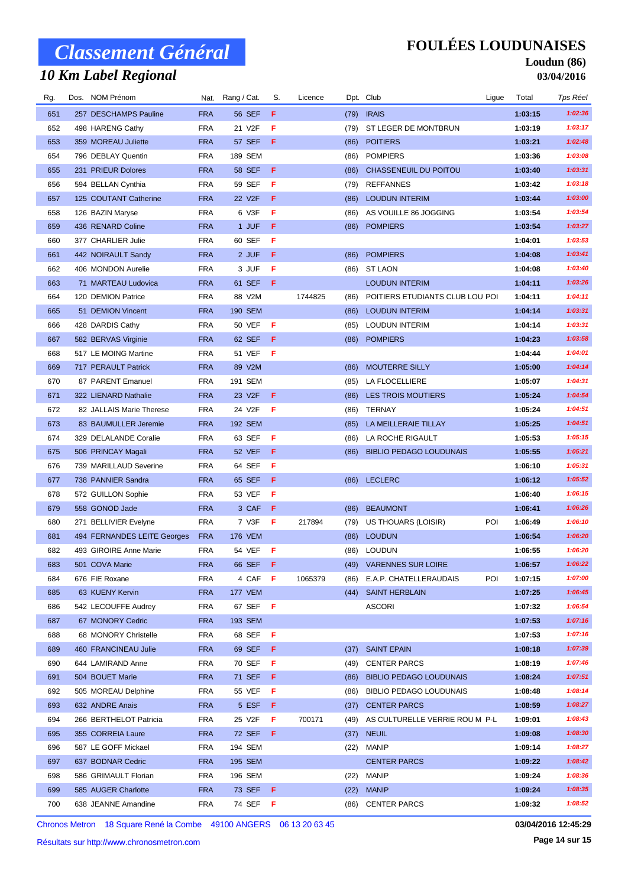## *10 Km Label Regional*

### **FOULÉES LOUDUNAISES**

#### **Loudun (86) 03/04/2016**

| Rg. | Dos. | NOM Prénom                  |            | Nat. Rang / Cat. | S.  | Licence |      | Dpt. Club                           | Ligue | Total   | Tps Réel |
|-----|------|-----------------------------|------------|------------------|-----|---------|------|-------------------------------------|-------|---------|----------|
| 651 |      | 257 DESCHAMPS Pauline       | <b>FRA</b> | <b>56 SEF</b>    | F.  |         | (79) | <b>IRAIS</b>                        |       | 1:03:15 | 1:02:36  |
| 652 |      | 498 HARENG Cathy            | <b>FRA</b> | 21 V2F           | F   |         | (79) | ST LEGER DE MONTBRUN                |       | 1:03:19 | 1:03:17  |
| 653 |      | 359 MOREAU Juliette         | <b>FRA</b> | 57 SEF           | F   |         | (86) | <b>POITIERS</b>                     |       | 1:03:21 | 1:02:48  |
| 654 |      | 796 DEBLAY Quentin          | <b>FRA</b> | 189 SEM          |     |         | (86) | <b>POMPIERS</b>                     |       | 1:03:36 | 1:03:08  |
| 655 |      | 231 PRIEUR Dolores          | <b>FRA</b> | <b>58 SEF</b>    | F   |         | (86) | CHASSENEUIL DU POITOU               |       | 1:03:40 | 1:03:31  |
| 656 |      | 594 BELLAN Cynthia          | <b>FRA</b> | 59 SEF           | F   |         | (79) | <b>REFFANNES</b>                    |       | 1:03:42 | 1:03:18  |
| 657 |      | 125 COUTANT Catherine       | <b>FRA</b> | 22 V2F           | F   |         | (86) | <b>LOUDUN INTERIM</b>               |       | 1:03:44 | 1:03:00  |
| 658 |      | 126 BAZIN Maryse            | <b>FRA</b> | 6 V3F            | F   |         | (86) | AS VOUILLE 86 JOGGING               |       | 1:03:54 | 1:03:54  |
| 659 |      | 436 RENARD Coline           | <b>FRA</b> | 1 JUF            | F.  |         | (86) | <b>POMPIERS</b>                     |       | 1:03:54 | 1:03:27  |
| 660 |      | 377 CHARLIER Julie          | <b>FRA</b> | 60 SEF           | F   |         |      |                                     |       | 1:04:01 | 1:03:53  |
| 661 |      | 442 NOIRAULT Sandy          | <b>FRA</b> | 2 JUF            | F   |         | (86) | <b>POMPIERS</b>                     |       | 1:04:08 | 1:03:41  |
| 662 |      | 406 MONDON Aurelie          | <b>FRA</b> | 3 JUF            | F   |         | (86) | <b>ST LAON</b>                      |       | 1:04:08 | 1:03:40  |
| 663 |      | 71 MARTEAU Ludovica         | <b>FRA</b> | 61 SEF           | F   |         |      | <b>LOUDUN INTERIM</b>               |       | 1:04:11 | 1:03:26  |
| 664 |      | 120 DEMION Patrice          | <b>FRA</b> | 88 V2M           |     | 1744825 | (86) | POITIERS ETUDIANTS CLUB LOU POI     |       | 1:04:11 | 1:04:11  |
| 665 |      | 51 DEMION Vincent           | <b>FRA</b> | <b>190 SEM</b>   |     |         | (86) | <b>LOUDUN INTERIM</b>               |       | 1:04:14 | 1:03:31  |
| 666 |      | 428 DARDIS Cathy            | <b>FRA</b> | <b>50 VEF</b>    | F   |         | (85) | <b>LOUDUN INTERIM</b>               |       | 1:04:14 | 1:03:31  |
| 667 |      | 582 BERVAS Virginie         | <b>FRA</b> | 62 SEF           | F   |         | (86) | <b>POMPIERS</b>                     |       | 1:04:23 | 1:03:58  |
| 668 |      | 517 LE MOING Martine        | <b>FRA</b> | 51 VEF           | - F |         |      |                                     |       | 1:04:44 | 1:04:01  |
| 669 |      | 717 PERAULT Patrick         | <b>FRA</b> | 89 V2M           |     |         | (86) | <b>MOUTERRE SILLY</b>               |       | 1:05:00 | 1:04:14  |
| 670 |      | 87 PARENT Emanuel           | <b>FRA</b> | 191 SEM          |     |         | (85) | LA FLOCELLIERE                      |       | 1:05:07 | 1:04:31  |
| 671 |      | 322 LIENARD Nathalie        | <b>FRA</b> | 23 V2F           | F   |         | (86) | <b>LES TROIS MOUTIERS</b>           |       | 1:05:24 | 1:04:54  |
| 672 |      | 82 JALLAIS Marie Therese    | <b>FRA</b> | 24 V2F           | F   |         | (86) | TERNAY                              |       | 1:05:24 | 1:04:51  |
| 673 |      | 83 BAUMULLER Jeremie        | <b>FRA</b> | <b>192 SEM</b>   |     |         | (85) | LA MEILLERAIE TILLAY                |       | 1:05:25 | 1:04:51  |
| 674 |      | 329 DELALANDE Coralie       | <b>FRA</b> | 63 SEF           | F   |         | (86) | LA ROCHE RIGAULT                    |       | 1:05:53 | 1:05:15  |
| 675 |      | 506 PRINCAY Magali          | <b>FRA</b> | 52 VEF           | F   |         | (86) | <b>BIBLIO PEDAGO LOUDUNAIS</b>      |       | 1:05:55 | 1:05:21  |
| 676 |      | 739 MARILLAUD Severine      | <b>FRA</b> | 64 SEF           | F.  |         |      |                                     |       | 1:06:10 | 1:05:31  |
| 677 |      | 738 PANNIER Sandra          | <b>FRA</b> | 65 SEF           | F   |         |      | (86) LECLERC                        |       | 1:06:12 | 1:05:52  |
| 678 |      | 572 GUILLON Sophie          | <b>FRA</b> | 53 VEF           | F   |         |      |                                     |       | 1:06:40 | 1:06:15  |
| 679 |      | 558 GONOD Jade              | <b>FRA</b> | 3 CAF            | F   |         | (86) | <b>BEAUMONT</b>                     |       | 1:06:41 | 1:06:26  |
| 680 |      | 271 BELLIVIER Evelyne       | <b>FRA</b> | 7 V3F            | F   | 217894  | (79) | <b>US THOUARS (LOISIR)</b>          | POI   | 1:06:49 | 1:06:10  |
| 681 |      | 494 FERNANDES LEITE Georges | <b>FRA</b> | <b>176 VEM</b>   |     |         | (86) | <b>LOUDUN</b>                       |       | 1:06:54 | 1:06:20  |
| 682 |      | 493 GIROIRE Anne Marie      | <b>FRA</b> | 54 VEF           | - F |         | (86) | <b>LOUDUN</b>                       |       | 1:06:55 | 1:06:20  |
| 683 |      | 501 COVA Marie              | <b>FRA</b> | 66 SEF F         |     |         |      | (49) VARENNES SUR LOIRE             |       | 1:06:57 | 1:06:22  |
| 684 |      | 676 FIE Roxane              | <b>FRA</b> | 4 CAF F          |     | 1065379 |      | (86) E.A.P. CHATELLERAUDAIS         | POI   | 1:07:15 | 1:07:00  |
| 685 |      | 63 KUENY Kervin             | <b>FRA</b> | <b>177 VEM</b>   |     |         |      | (44) SAINT HERBLAIN                 |       | 1:07:25 | 1:06:45  |
| 686 |      | 542 LECOUFFE Audrey         | <b>FRA</b> | 67 SEF F         |     |         |      | <b>ASCORI</b>                       |       | 1:07:32 | 1:06:54  |
| 687 |      | 67 MONORY Cedric            | <b>FRA</b> | 193 SEM          |     |         |      |                                     |       | 1:07:53 | 1:07:16  |
| 688 |      | 68 MONORY Christelle        | <b>FRA</b> | 68 SEF           | - F |         |      |                                     |       | 1:07:53 | 1:07:16  |
| 689 |      | 460 FRANCINEAU Julie        | <b>FRA</b> | 69 SEF           | F.  |         | (37) | <b>SAINT EPAIN</b>                  |       | 1:08:18 | 1:07:39  |
| 690 |      | 644 LAMIRAND Anne           | <b>FRA</b> | 70 SEF           | F.  |         | (49) | <b>CENTER PARCS</b>                 |       | 1:08:19 | 1:07:46  |
| 691 |      | 504 BOUET Marie             | <b>FRA</b> | 71 SEF           | F.  |         | (86) | <b>BIBLIO PEDAGO LOUDUNAIS</b>      |       | 1:08:24 | 1:07:51  |
| 692 |      | 505 MOREAU Delphine         | <b>FRA</b> | 55 VEF           | F   |         | (86) | <b>BIBLIO PEDAGO LOUDUNAIS</b>      |       | 1:08:48 | 1:08:14  |
| 693 |      | 632 ANDRE Anais             | <b>FRA</b> | 5 ESF            | F.  |         |      | (37) CENTER PARCS                   |       | 1:08:59 | 1:08:27  |
| 694 |      | 266 BERTHELOT Patricia      | <b>FRA</b> | 25 V2F           | F.  | 700171  |      | (49) AS CULTURELLE VERRIE ROU M P-L |       | 1:09:01 | 1:08:43  |
| 695 |      | 355 CORREIA Laure           | <b>FRA</b> | 72 SEF           | F.  |         | (37) | <b>NEUIL</b>                        |       | 1:09:08 | 1:08:30  |
| 696 |      | 587 LE GOFF Mickael         | <b>FRA</b> | 194 SEM          |     |         | (22) | <b>MANIP</b>                        |       | 1:09:14 | 1:08:27  |
| 697 |      | 637 BODNAR Cedric           | <b>FRA</b> | 195 SEM          |     |         |      | <b>CENTER PARCS</b>                 |       | 1:09:22 | 1:08:42  |
| 698 |      | 586 GRIMAULT Florian        | <b>FRA</b> | 196 SEM          |     |         | (22) | <b>MANIP</b>                        |       | 1:09:24 | 1:08:36  |
| 699 |      | 585 AUGER Charlotte         | <b>FRA</b> | 73 SEF F         |     |         | (22) | <b>MANIP</b>                        |       | 1:09:24 | 1:08:35  |
| 700 |      | 638 JEANNE Amandine         | <b>FRA</b> | 74 SEF <b>F</b>  |     |         |      | (86) CENTER PARCS                   |       | 1:09:32 | 1:08:52  |